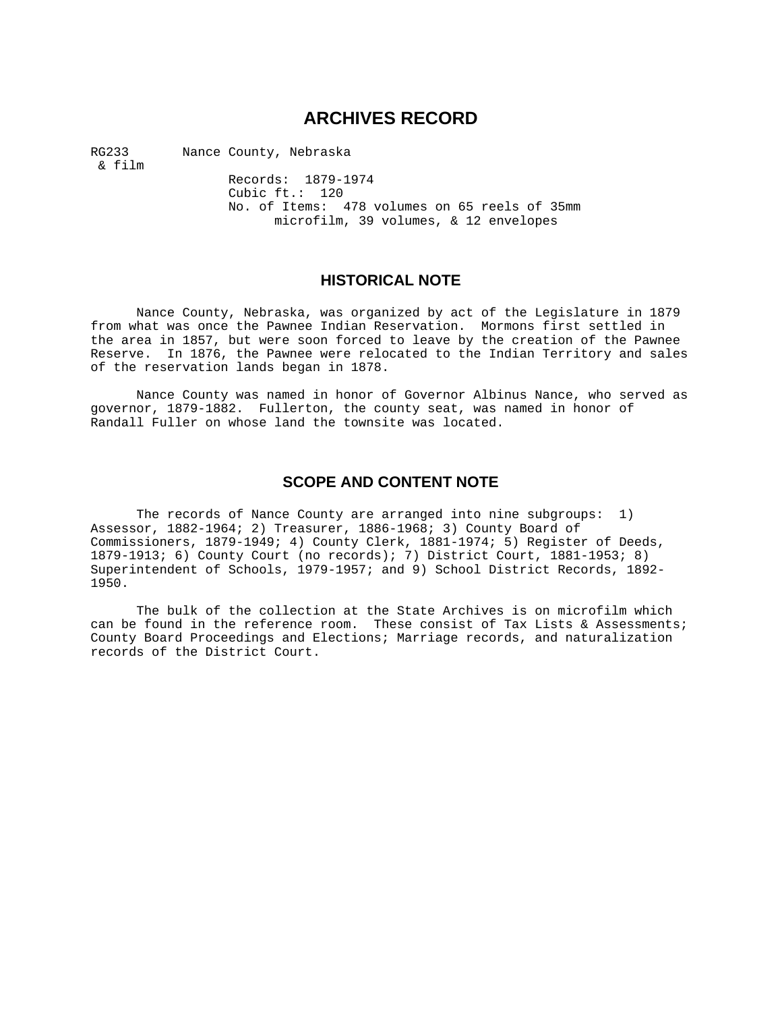## **ARCHIVES RECORD**

RG233 Nance County, Nebraska

& film

 Records: 1879-1974 Cubic ft.: 120 No. of Items: 478 volumes on 65 reels of 35mm microfilm, 39 volumes, & 12 envelopes

#### **HISTORICAL NOTE**

 Nance County, Nebraska, was organized by act of the Legislature in 1879 from what was once the Pawnee Indian Reservation. Mormons first settled in the area in 1857, but were soon forced to leave by the creation of the Pawnee Reserve. In 1876, the Pawnee were relocated to the Indian Territory and sales of the reservation lands began in 1878.

 Nance County was named in honor of Governor Albinus Nance, who served as governor, 1879-1882. Fullerton, the county seat, was named in honor of Randall Fuller on whose land the townsite was located.

#### **SCOPE AND CONTENT NOTE**

 The records of Nance County are arranged into nine subgroups: 1) Assessor, 1882-1964; 2) Treasurer, 1886-1968; 3) County Board of Commissioners, 1879-1949; 4) County Clerk, 1881-1974; 5) Register of Deeds, 1879-1913; 6) County Court (no records); 7) District Court, 1881-1953; 8) Superintendent of Schools, 1979-1957; and 9) School District Records, 1892- 1950.

 The bulk of the collection at the State Archives is on microfilm which can be found in the reference room. These consist of Tax Lists & Assessments; County Board Proceedings and Elections; Marriage records, and naturalization records of the District Court.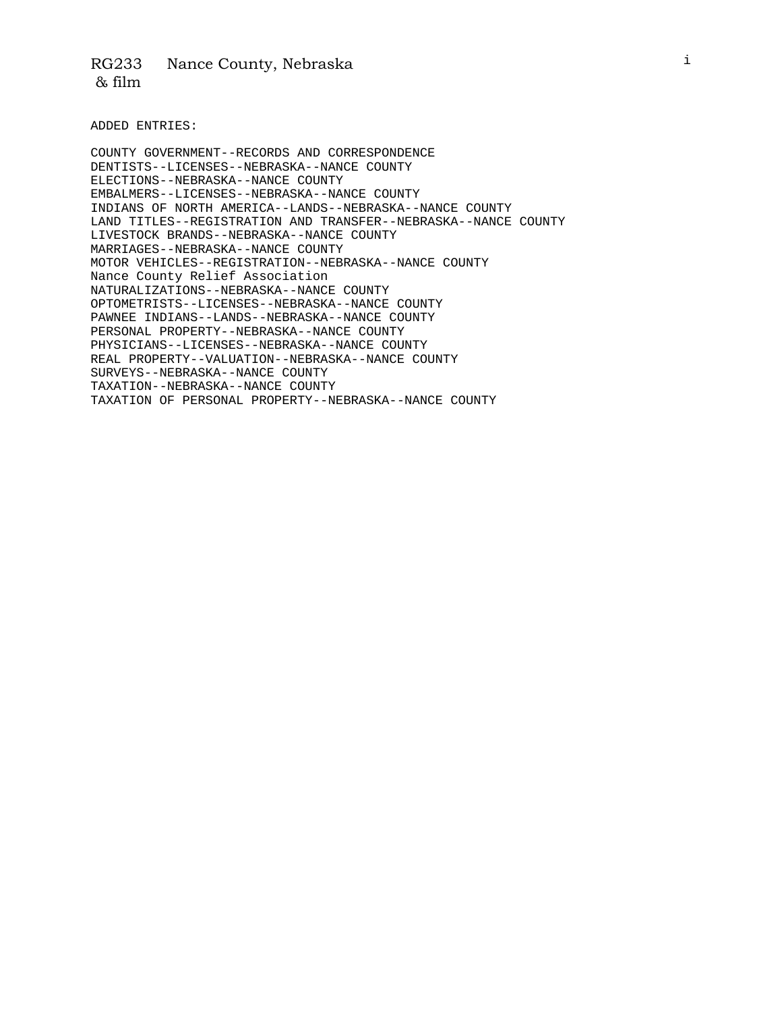## RG233 Nance County, Nebraska interventional states of the state of the state of the state of the state of the state of the state of the state of the state of the state of the state of the state of the state of the state of & film

#### ADDED ENTRIES:

COUNTY GOVERNMENT--RECORDS AND CORRESPONDENCE DENTISTS--LICENSES--NEBRASKA--NANCE COUNTY ELECTIONS--NEBRASKA--NANCE COUNTY EMBALMERS--LICENSES--NEBRASKA--NANCE COUNTY INDIANS OF NORTH AMERICA--LANDS--NEBRASKA--NANCE COUNTY LAND TITLES--REGISTRATION AND TRANSFER--NEBRASKA--NANCE COUNTY LIVESTOCK BRANDS--NEBRASKA--NANCE COUNTY MARRIAGES--NEBRASKA--NANCE COUNTY MOTOR VEHICLES--REGISTRATION--NEBRASKA--NANCE COUNTY Nance County Relief Association NATURALIZATIONS--NEBRASKA--NANCE COUNTY OPTOMETRISTS--LICENSES--NEBRASKA--NANCE COUNTY PAWNEE INDIANS--LANDS--NEBRASKA--NANCE COUNTY PERSONAL PROPERTY--NEBRASKA--NANCE COUNTY PHYSICIANS--LICENSES--NEBRASKA--NANCE COUNTY REAL PROPERTY--VALUATION--NEBRASKA--NANCE COUNTY SURVEYS--NEBRASKA--NANCE COUNTY TAXATION--NEBRASKA--NANCE COUNTY TAXATION OF PERSONAL PROPERTY--NEBRASKA--NANCE COUNTY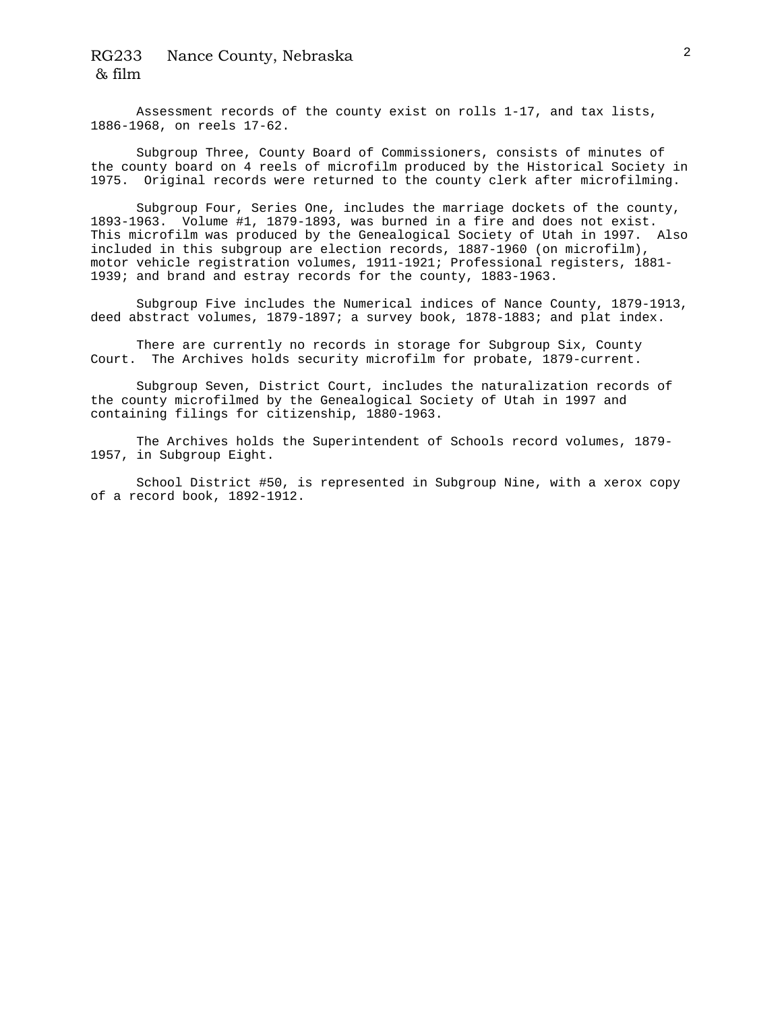Assessment records of the county exist on rolls 1-17, and tax lists, 1886-1968, on reels 17-62.

 Subgroup Three, County Board of Commissioners, consists of minutes of the county board on 4 reels of microfilm produced by the Historical Society in 1975. Original records were returned to the county clerk after microfilming.

 Subgroup Four, Series One, includes the marriage dockets of the county, 1893-1963. Volume #1, 1879-1893, was burned in a fire and does not exist. This microfilm was produced by the Genealogical Society of Utah in 1997. Also included in this subgroup are election records, 1887-1960 (on microfilm), motor vehicle registration volumes, 1911-1921; Professional registers, 1881- 1939; and brand and estray records for the county, 1883-1963.

 Subgroup Five includes the Numerical indices of Nance County, 1879-1913, deed abstract volumes, 1879-1897; a survey book, 1878-1883; and plat index.

 There are currently no records in storage for Subgroup Six, County Court. The Archives holds security microfilm for probate, 1879-current.

 Subgroup Seven, District Court, includes the naturalization records of the county microfilmed by the Genealogical Society of Utah in 1997 and containing filings for citizenship, 1880-1963.

 The Archives holds the Superintendent of Schools record volumes, 1879- 1957, in Subgroup Eight.

 School District #50, is represented in Subgroup Nine, with a xerox copy of a record book, 1892-1912.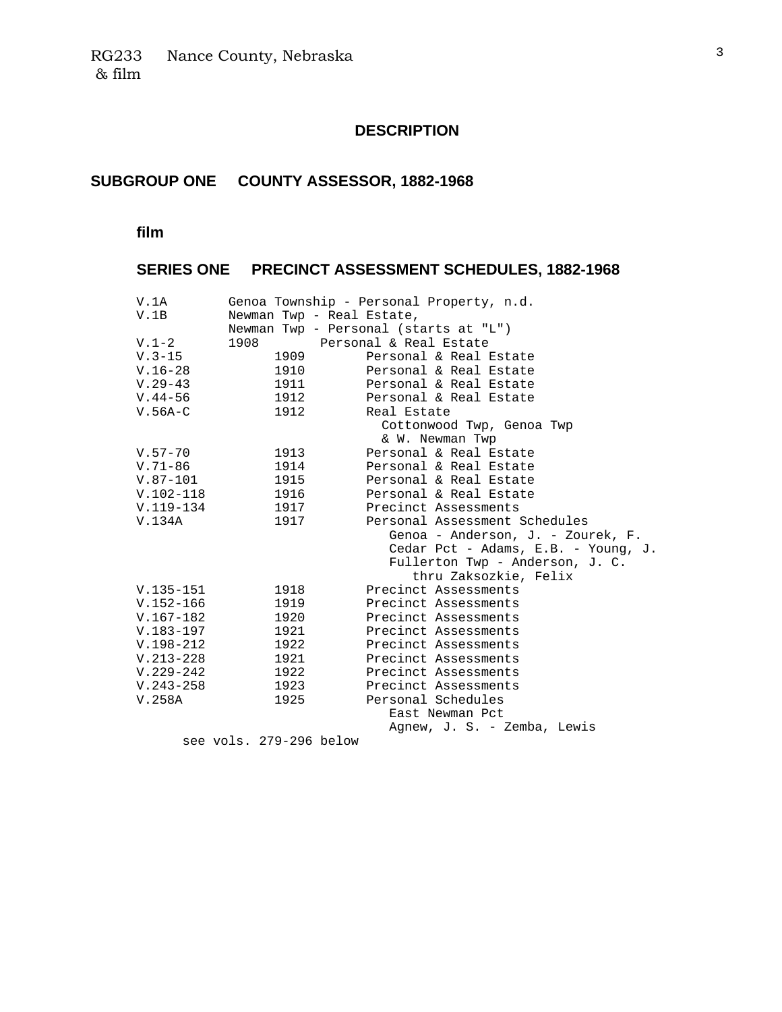## **DESCRIPTION**

# **SUBGROUP ONE COUNTY ASSESSOR, 1882-1968**

## **film**

# **SERIES ONE PRECINCT ASSESSMENT SCHEDULES, 1882-1968**

| V.1A          |                           | Genoa Township - Personal Property, n.d. |
|---------------|---------------------------|------------------------------------------|
| V.IB          | Newman Twp - Real Estate, |                                          |
|               |                           | Newman Twp - Personal (starts at "L")    |
| $V.1-2$       | 1908                      | Personal & Real Estate                   |
| $V.3-15$      | 1909                      | Personal & Real Estate                   |
| $V.16-28$     | 1910                      | Personal & Real Estate                   |
| $V.29-43$     | 1911                      | Personal & Real Estate                   |
| $V.44-56$     | 1912                      | Personal & Real Estate                   |
| V.56A-C       | 1912                      | Real Estate                              |
|               |                           | Cottonwood Twp, Genoa Twp                |
|               |                           | & W. Newman Twp                          |
| $V.57 - 70$   | 1913                      | Personal & Real Estate                   |
| $V.71-86$     | 1914                      | Personal & Real Estate                   |
| $V.87-101$    | 1915                      | Personal & Real Estate                   |
| $V.102-118$   | 1916                      | Personal & Real Estate                   |
| V.119-134     | 1917                      | Precinct Assessments                     |
| V.134A        | 1917                      | Personal Assessment Schedules            |
|               |                           | Genoa - Anderson, J. - Zourek, F.        |
|               |                           | Cedar Pct - Adams, E.B. - Young, J.      |
|               |                           | Fullerton Twp - Anderson, J. C.          |
|               |                           | thru Zaksozkie, Felix                    |
| V.135-151     | 1918                      | Precinct Assessments                     |
| $V.152 - 166$ | 1919                      | Precinct Assessments                     |
| $V.167-182$   | 1920                      | Precinct Assessments                     |
| V.183-197     | 1921                      | Precinct Assessments                     |
| $V.198-212$   | 1922                      | Precinct Assessments                     |
| $V.213 - 228$ | 1921                      | Precinct Assessments                     |
| $V.229 - 242$ | 1922                      | Precinct Assessments                     |
| $V.243 - 258$ | 1923                      | Precinct Assessments                     |
| V.258A        | 1925                      | Personal Schedules                       |
|               |                           | East Newman Pct                          |
|               |                           | Agnew, J. S. - Zemba, Lewis              |
|               | see vols. 279-296 below   |                                          |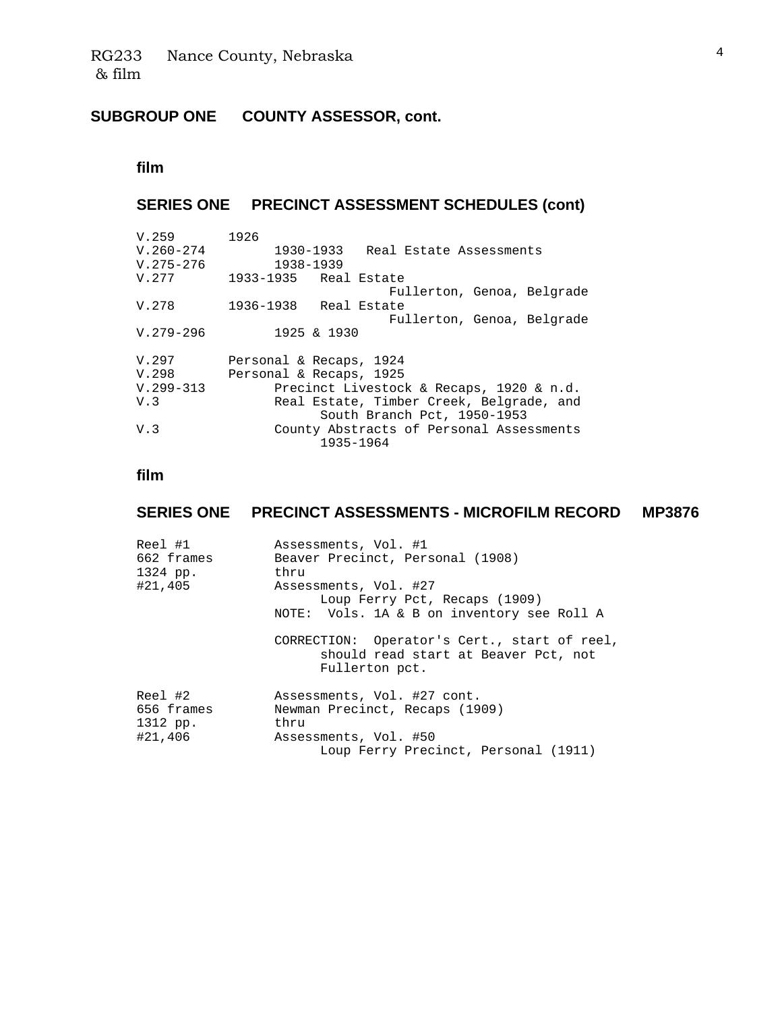# **SUBGROUP ONE COUNTY ASSESSOR, cont.**

## **film**

## **SERIES ONE PRECINCT ASSESSMENT SCHEDULES (cont)**

| V.259         | 1926                                     |
|---------------|------------------------------------------|
| $V.260 - 274$ | 1930-1933 Real Estate Assessments        |
| $V.275 - 276$ | 1938-1939                                |
| V.277         | 1933-1935 Real Estate                    |
|               | Fullerton, Genoa, Belgrade               |
| V.278         | 1936-1938 Real Estate                    |
|               | Fullerton, Genoa, Belgrade               |
| $V.279 - 296$ | 1925 & 1930                              |
|               |                                          |
| V.297         | Personal & Recaps, 1924                  |
| V.298         | Personal & Recaps, 1925                  |
| $V.299 - 313$ | Precinct Livestock & Recaps, 1920 & n.d. |
| V.3           | Real Estate, Timber Creek, Belgrade, and |
|               | South Branch Pct, 1950-1953              |
| V.3           | County Abstracts of Personal Assessments |
|               | 1935-1964                                |
|               |                                          |

## **film**

## **SERIES ONE PRECINCT ASSESSMENTS - MICROFILM RECORD MP3876**

| Reel #1<br>662 frames<br>1324 pp. | Assessments, Vol. #1<br>Beaver Precinct, Personal (1908)<br>thru                           |
|-----------------------------------|--------------------------------------------------------------------------------------------|
| #21,405                           | Assessments, Vol. #27<br>Loup Ferry Pct, Recaps (1909)                                     |
|                                   | NOTE: Vols. 1A & B on inventory see Roll A<br>CORRECTION: Operator's Cert., start of reel, |
|                                   | should read start at Beaver Pct, not<br>Fullerton pct.                                     |
| Reel #2<br>656 frames<br>1312 pp. | Assessments, Vol. #27 cont.<br>Newman Precinct, Recaps (1909)<br>thru                      |
| #21,406                           | Assessments, Vol. #50                                                                      |
|                                   | Loup Ferry Precinct, Personal (1911)                                                       |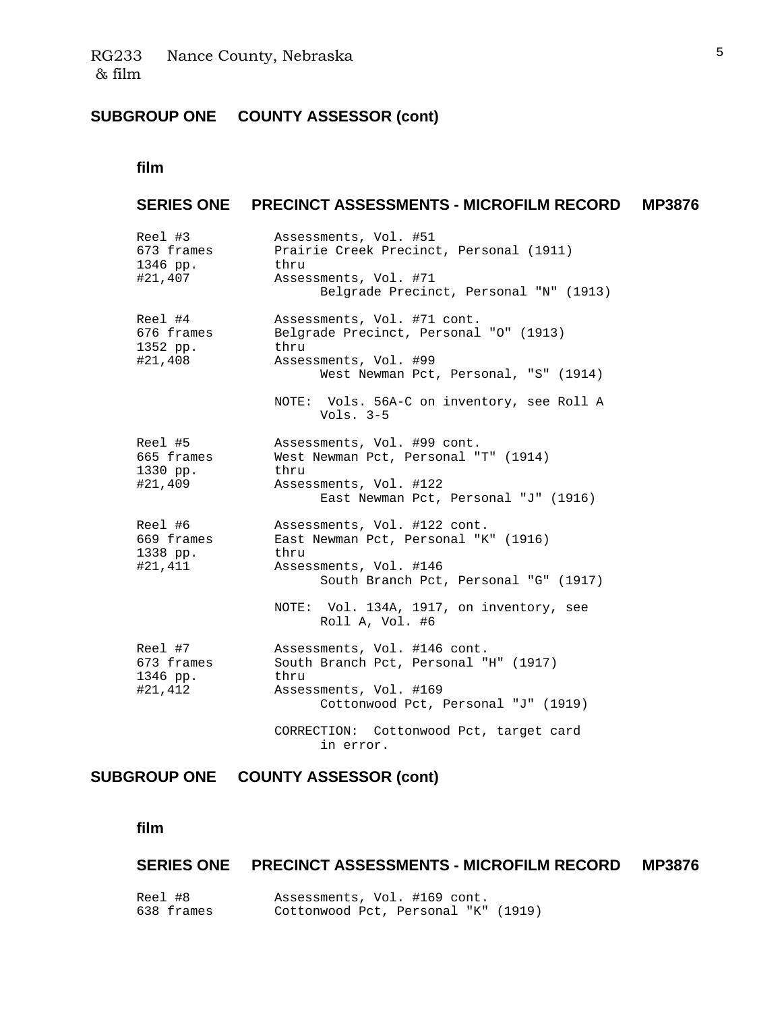# **SUBGROUP ONE COUNTY ASSESSOR (cont)**

## **film**

|                                              | SERIES ONE PRECINCT ASSESSMENTS - MICROFILM RECORD MP3876                                                                                                                                                      |  |
|----------------------------------------------|----------------------------------------------------------------------------------------------------------------------------------------------------------------------------------------------------------------|--|
| Reel #3<br>673 frames<br>1346 pp.<br>#21,407 | Assessments, Vol. #51<br>Prairie Creek Precinct, Personal (1911)<br>thru<br>Assessments, Vol. #71<br>Belgrade Precinct, Personal "N" (1913)                                                                    |  |
| Reel #4<br>676 frames<br>1352 pp.<br>#21,408 | Assessments, Vol. #71 cont.<br>Belgrade Precinct, Personal "0" (1913)<br>thru<br>Assessments, Vol. #99<br>West Newman Pct, Personal, "S" (1914)<br>NOTE: Vols. 56A-C on inventory, see Roll A<br>Vols. $3-5$   |  |
| Reel #5<br>665 frames<br>1330 pp.<br>#21,409 | Assessments, Vol. #99 cont.<br>West Newman Pct, Personal "T" (1914)<br>thru<br>Assessments, Vol. #122<br>East Newman Pct, Personal "J" (1916)                                                                  |  |
| Reel #6<br>669 frames<br>1338 pp.<br>#21,411 | Assessments, Vol. #122 cont.<br>East Newman Pct, Personal "K" (1916)<br>thru<br>Assessments, Vol. #146<br>South Branch Pct, Personal "G" (1917)<br>NOTE: Vol. 134A, 1917, on inventory, see<br>Roll A, Vol. #6 |  |
| Reel #7<br>673 frames<br>1346 pp.<br>#21,412 | Assessments, Vol. #146 cont.<br>South Branch Pct, Personal "H" (1917)<br>thru<br>Assessments, Vol. #169<br>Cottonwood Pct, Personal "J" (1919)<br>CORRECTION: Cottonwood Pct, target card<br>in error.         |  |

**SUBGROUP ONE COUNTY ASSESSOR (cont)** 

#### **film**

## **SERIES ONE PRECINCT ASSESSMENTS - MICROFILM RECORD MP3876**

| Reel #8    | Assessments, Vol. #169 cont. |                                     |
|------------|------------------------------|-------------------------------------|
| 638 frames |                              | Cottonwood Pct, Personal "K" (1919) |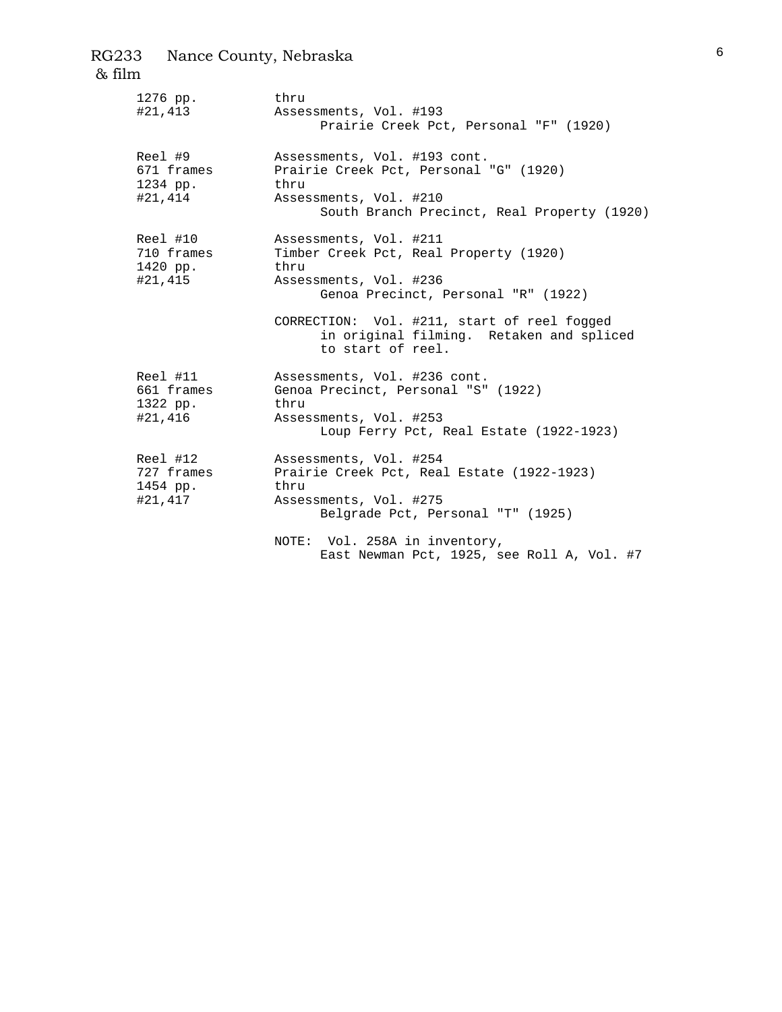# RG233 Nance County, Nebraska

& film

| 1276 pp.<br>#21,413                           | thru<br>Assessments, Vol. #193<br>Prairie Creek Pct, Personal "F" (1920)                                                                                                                                                                                  |
|-----------------------------------------------|-----------------------------------------------------------------------------------------------------------------------------------------------------------------------------------------------------------------------------------------------------------|
| Reel #9<br>671 frames<br>1234 pp.<br>#21,414  | Assessments, Vol. #193 cont.<br>Prairie Creek Pct, Personal "G" (1920)<br>thru<br>Assessments, Vol. #210<br>South Branch Precinct, Real Property (1920)                                                                                                   |
| Reel #10<br>710 frames<br>1420 pp.<br>#21,415 | Assessments, Vol. #211<br>Timber Creek Pct, Real Property (1920)<br>thru<br>Assessments, Vol. #236<br>Genoa Precinct, Personal "R" (1922)<br>CORRECTION: Vol. #211, start of reel fogged<br>in original filming. Retaken and spliced<br>to start of reel. |
| Reel #11<br>661 frames<br>1322 pp.<br>#21,416 | Assessments, Vol. #236 cont.<br>Genoa Precinct, Personal "S" (1922)<br>thru<br>Assessments, Vol. #253<br>Loup Ferry Pct, Real Estate (1922-1923)                                                                                                          |
| Reel #12<br>727 frames<br>1454 pp.<br>#21,417 | Assessments, Vol. #254<br>Prairie Creek Pct, Real Estate (1922-1923)<br>thru<br>Assessments, Vol. #275<br>Belgrade Pct, Personal "T" (1925)                                                                                                               |
|                                               | NOTE: Vol. 258A in inventory,<br>East Newman Pct, 1925, see Roll A, Vol. #7                                                                                                                                                                               |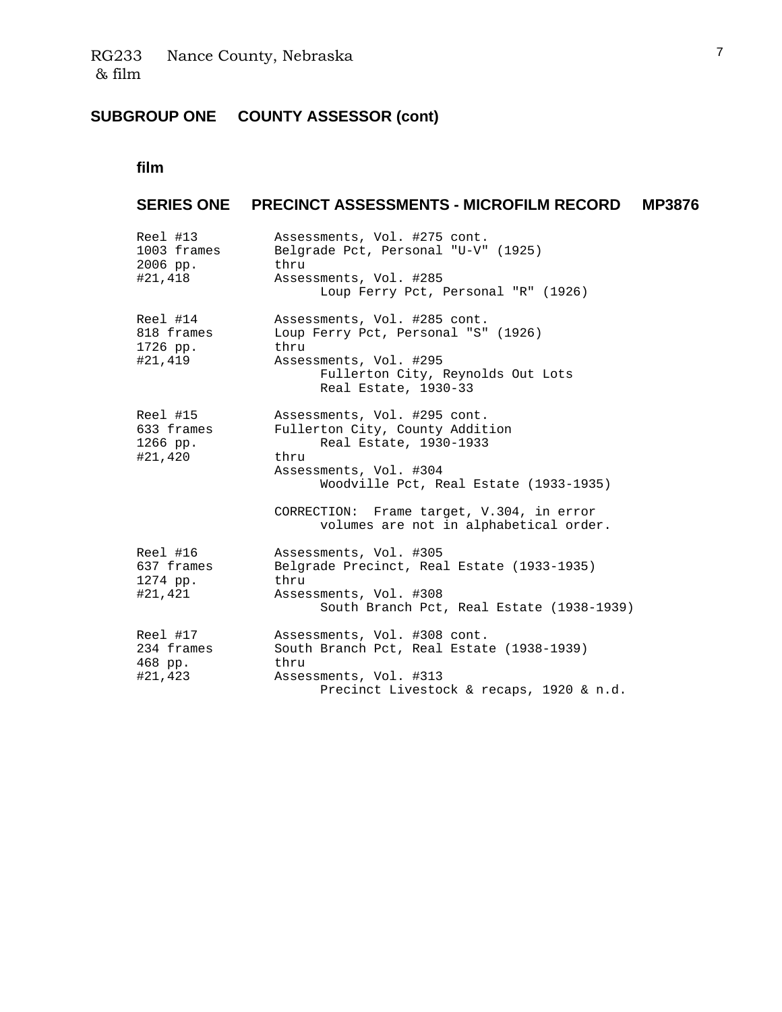# **SUBGROUP ONE COUNTY ASSESSOR (cont)**

# **film**

|                                                | SERIES ONE PRECINCT ASSESSMENTS - MICROFILM RECORD                                                                                                                    | <b>MP3876</b> |
|------------------------------------------------|-----------------------------------------------------------------------------------------------------------------------------------------------------------------------|---------------|
| Reel #13<br>1003 frames<br>2006 pp.<br>#21,418 | Assessments, Vol. #275 cont.<br>Belgrade Pct, Personal "U-V" (1925)<br>thru<br>Assessments, Vol. #285                                                                 |               |
|                                                | Loup Ferry Pct, Personal "R" (1926)                                                                                                                                   |               |
| Reel #14<br>818 frames<br>1726 pp.<br>#21,419  | Assessments, Vol. #285 cont.<br>Loup Ferry Pct, Personal "S" (1926)<br>thru<br>Assessments, Vol. #295                                                                 |               |
|                                                | Fullerton City, Reynolds Out Lots<br>Real Estate, 1930-33                                                                                                             |               |
| Reel #15<br>633 frames<br>1266 pp.<br>#21,420  | Assessments, Vol. #295 cont.<br>Fullerton City, County Addition<br>Real Estate, 1930-1933<br>thru<br>Assessments, Vol. #304<br>Woodville Pct, Real Estate (1933-1935) |               |
|                                                | CORRECTION: Frame target, V.304, in error<br>volumes are not in alphabetical order.                                                                                   |               |
| Reel #16<br>637 frames<br>1274 pp.<br>#21,421  | Assessments, Vol. #305<br>Belgrade Precinct, Real Estate (1933-1935)<br>thru<br>Assessments, Vol. #308                                                                |               |
|                                                | South Branch Pct, Real Estate (1938-1939)                                                                                                                             |               |
| Reel #17<br>234 frames<br>468 pp.              | Assessments, Vol. #308 cont.<br>South Branch Pct, Real Estate (1938-1939)<br>thru                                                                                     |               |
| #21,423                                        | Assessments, Vol. #313<br>Precinct Livestock & recaps, 1920 & n.d.                                                                                                    |               |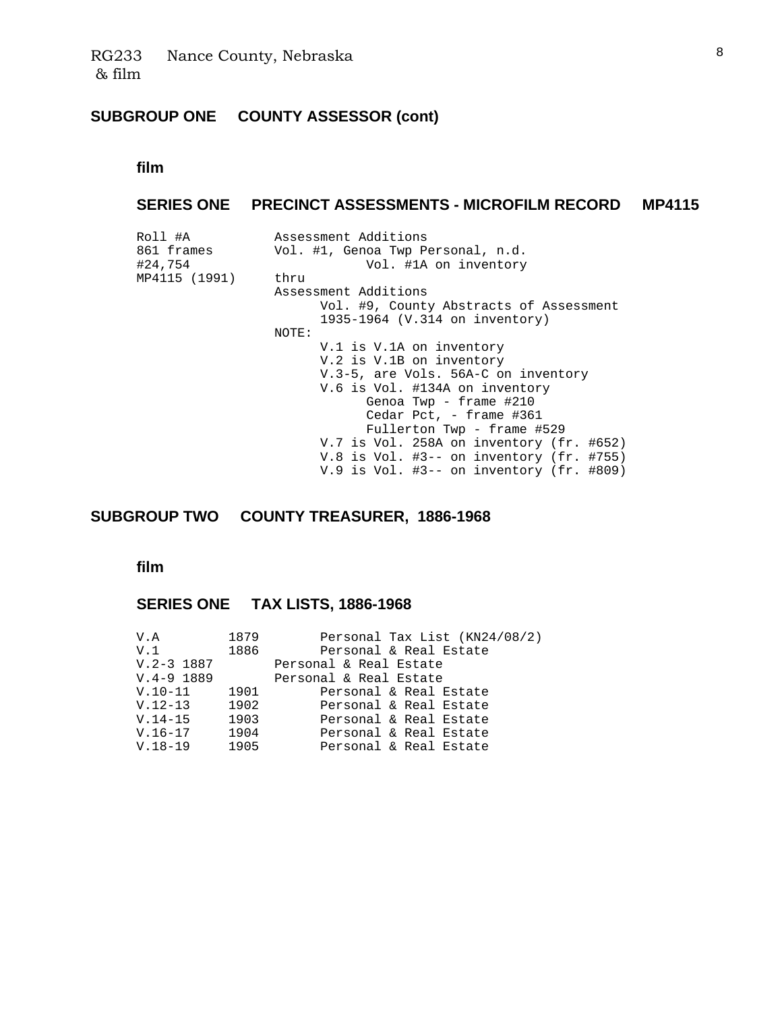# **SUBGROUP ONE COUNTY ASSESSOR (cont)**

 **film** 

#### **SERIES ONE PRECINCT ASSESSMENTS - MICROFILM RECORD MP4115**

| Roll #A       | Assessment Additions                       |
|---------------|--------------------------------------------|
| 861 frames    | Vol. #1, Genoa Twp Personal, n.d.          |
| #24,754       | Vol. #1A on inventory                      |
| MP4115 (1991) | thru                                       |
|               | Assessment Additions                       |
|               | Vol. #9, County Abstracts of Assessment    |
|               | 1935-1964 (V.314 on inventory)             |
|               | NOTE:                                      |
|               | V.1 is V.1A on inventory                   |
|               | V.2 is V.1B on inventory                   |
|               | V.3-5, are Vols. 56A-C on inventory        |
|               | V.6 is Vol. #134A on inventory             |
|               | Genoa Twp - frame #210                     |
|               | Cedar Pct, - frame #361                    |
|               | Fullerton Twp - frame #529                 |
|               | V.7 is Vol. 258A on inventory (fr. #652)   |
|               | V.8 is Vol. #3-- on inventory $(fr. #755)$ |
|               | V.9 is Vol. #3-- on inventory $(fr. #809)$ |

## **SUBGROUP TWO COUNTY TREASURER, 1886-1968**

 **film** 

## **SERIES ONE TAX LISTS, 1886-1968**

| V.A            | 1879 | Personal Tax List (KN24/08/2) |
|----------------|------|-------------------------------|
| V.1            | 1886 | Personal & Real Estate        |
| $V.2 - 3$ 1887 |      | Personal & Real Estate        |
| $V.4-9$ 1889   |      | Personal & Real Estate        |
| $V.10-11$      | 1901 | Personal & Real Estate        |
| $V.12-13$      | 1902 | Personal & Real Estate        |
| $V.14-15$      | 1903 | Personal & Real Estate        |
| $V.16-17$      | 1904 | Personal & Real Estate        |
| $V.18-19$      | 1905 | Personal & Real Estate        |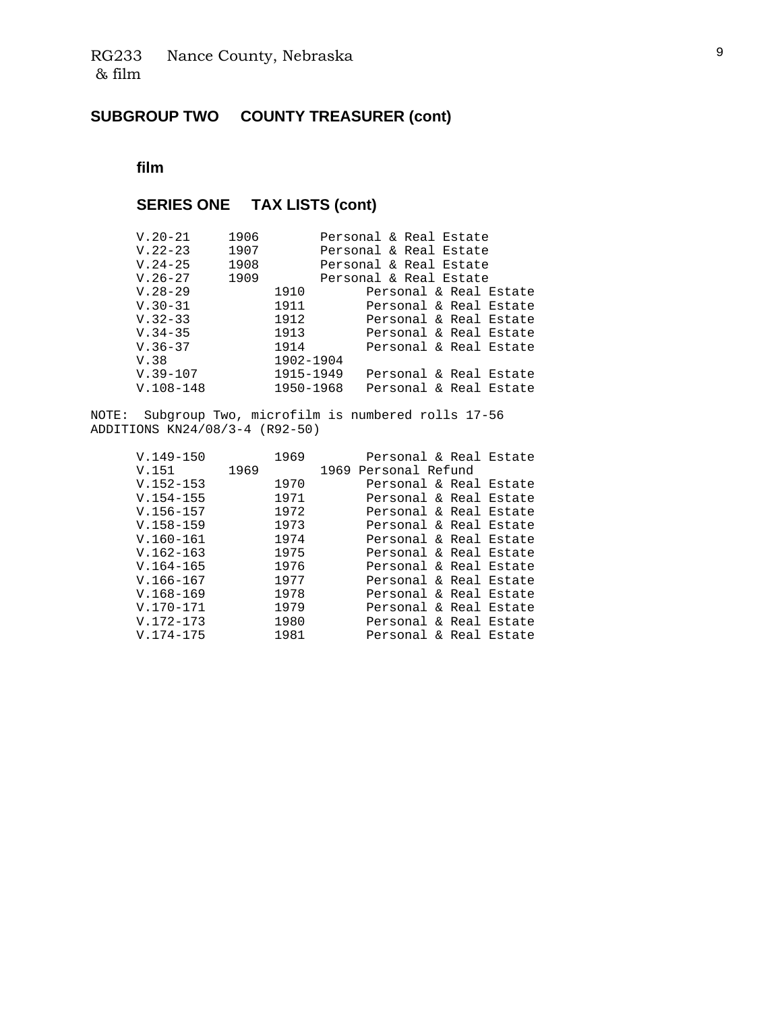# **SUBGROUP TWO COUNTY TREASURER (cont)**

 **film** 

# **SERIES ONE TAX LISTS (cont)**

| $V.20-21$     | 1906 |           | Personal & Real Estate |
|---------------|------|-----------|------------------------|
| $V.22 - 23$   | 1907 |           | Personal & Real Estate |
| $V.24-25$     | 1908 |           | Personal & Real Estate |
| $V.26-27$     | 1909 |           | Personal & Real Estate |
| $V.28-29$     |      | 1910      | Personal & Real Estate |
| $V.30-31$     |      | 1911      | Personal & Real Estate |
| $V.32 - 33$   |      | 1912      | Personal & Real Estate |
| $V.34 - 35$   |      | 1913      | Personal & Real Estate |
| $V.36 - 37$   |      | 1914      | Personal & Real Estate |
| V.38          |      | 1902-1904 |                        |
| $V.39 - 107$  |      | 1915-1949 | Personal & Real Estate |
| $V.108 - 148$ |      | 1950-1968 | Personal & Real Estate |

NOTE: Subgroup Two, microfilm is numbered rolls 17-56 ADDITIONS KN24/08/3-4 (R92-50)

| 1969<br>V.151<br>1969 Personal Refund           |  |
|-------------------------------------------------|--|
|                                                 |  |
| $V.152 - 153$<br>1970<br>Personal & Real Estate |  |
| 1971<br>$V.154 - 155$<br>Personal & Real Estate |  |
| 1972<br>$V.156 - 157$<br>Personal & Real Estate |  |
| $V.158 - 159$<br>1973<br>Personal & Real Estate |  |
| 1974<br>$V.160 - 161$<br>Personal & Real Estate |  |
| 1975<br>$V.162 - 163$<br>Personal & Real Estate |  |
| 1976<br>$V.164 - 165$<br>Personal & Real Estate |  |
| $V.166 - 167$<br>1977<br>Personal & Real Estate |  |
| $V.168 - 169$<br>1978<br>Personal & Real Estate |  |
| 1979<br>$V.170-171$<br>Personal & Real Estate   |  |
| 1980<br>$V.172 - 173$<br>Personal & Real Estate |  |
| 1981<br>$V.174 - 175$<br>Personal & Real Estate |  |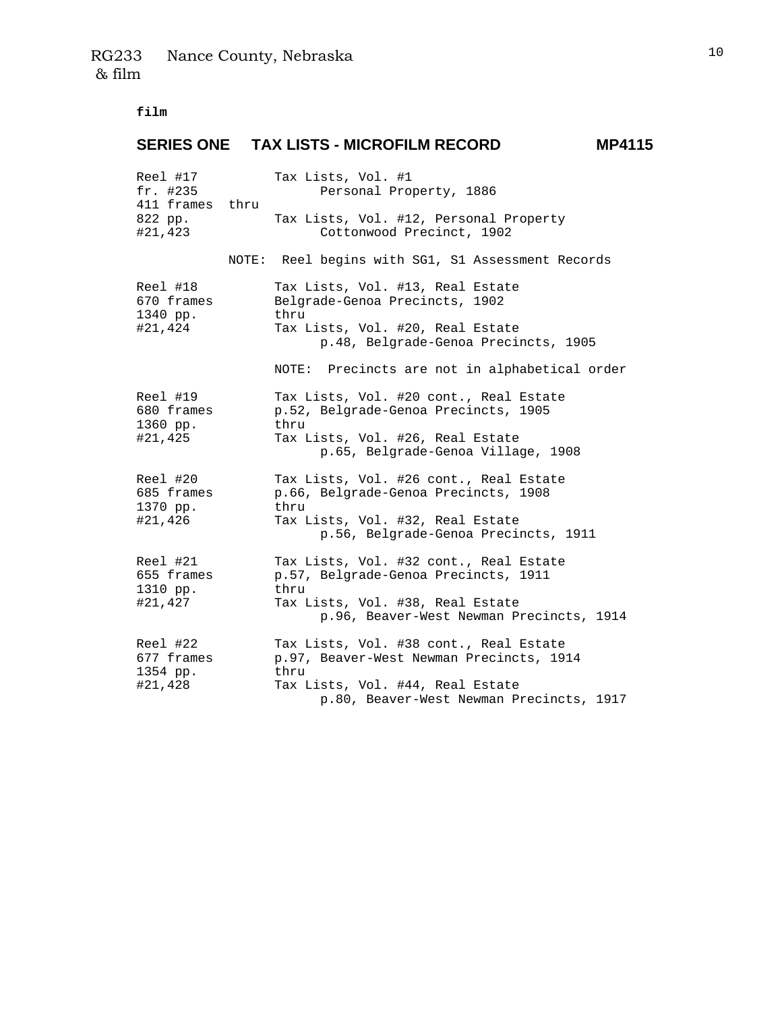**film** 

# **SERIES ONE TAX LISTS - MICROFILM RECORD MP4115**

| Reel #17<br>$fr.$ #235<br>411 frames thru<br>822 pp.<br>#21,423 | Tax Lists, Vol. #1<br>Personal Property, 1886<br>Tax Lists, Vol. #12, Personal Property<br>Cottonwood Precinct, 1902                                                       |
|-----------------------------------------------------------------|----------------------------------------------------------------------------------------------------------------------------------------------------------------------------|
|                                                                 | NOTE: Reel begins with SG1, S1 Assessment Records                                                                                                                          |
| Reel #18<br>670 frames<br>1340 pp.<br>#21,424                   | Tax Lists, Vol. #13, Real Estate<br>Belgrade-Genoa Precincts, 1902<br>thru<br>Tax Lists, Vol. #20, Real Estate<br>p.48, Belgrade-Genoa Precincts, 1905                     |
|                                                                 | NOTE: Precincts are not in alphabetical order                                                                                                                              |
| Reel #19<br>680 frames<br>1360 pp.<br>#21,425                   | Tax Lists, Vol. #20 cont., Real Estate<br>p.52, Belgrade-Genoa Precincts, 1905<br>thru<br>Tax Lists, Vol. #26, Real Estate<br>p.65, Belgrade-Genoa Village, 1908           |
| Reel #20<br>685 frames<br>1370 pp.<br>#21,426                   | Tax Lists, Vol. #26 cont., Real Estate<br>p.66, Belgrade-Genoa Precincts, 1908<br>thru<br>Tax Lists, Vol. #32, Real Estate<br>p.56, Belgrade-Genoa Precincts, 1911         |
| Reel #21<br>655 frames<br>1310 pp.<br>#21,427                   | Tax Lists, Vol. #32 cont., Real Estate<br>p.57, Belgrade-Genoa Precincts, 1911<br>thru<br>Tax Lists, Vol. #38, Real Estate<br>p.96, Beaver-West Newman Precincts, 1914     |
| Reel #22<br>677 frames<br>1354 pp.<br>#21,428                   | Tax Lists, Vol. #38 cont., Real Estate<br>p.97, Beaver-West Newman Precincts, 1914<br>thru<br>Tax Lists, Vol. #44, Real Estate<br>p.80, Beaver-West Newman Precincts, 1917 |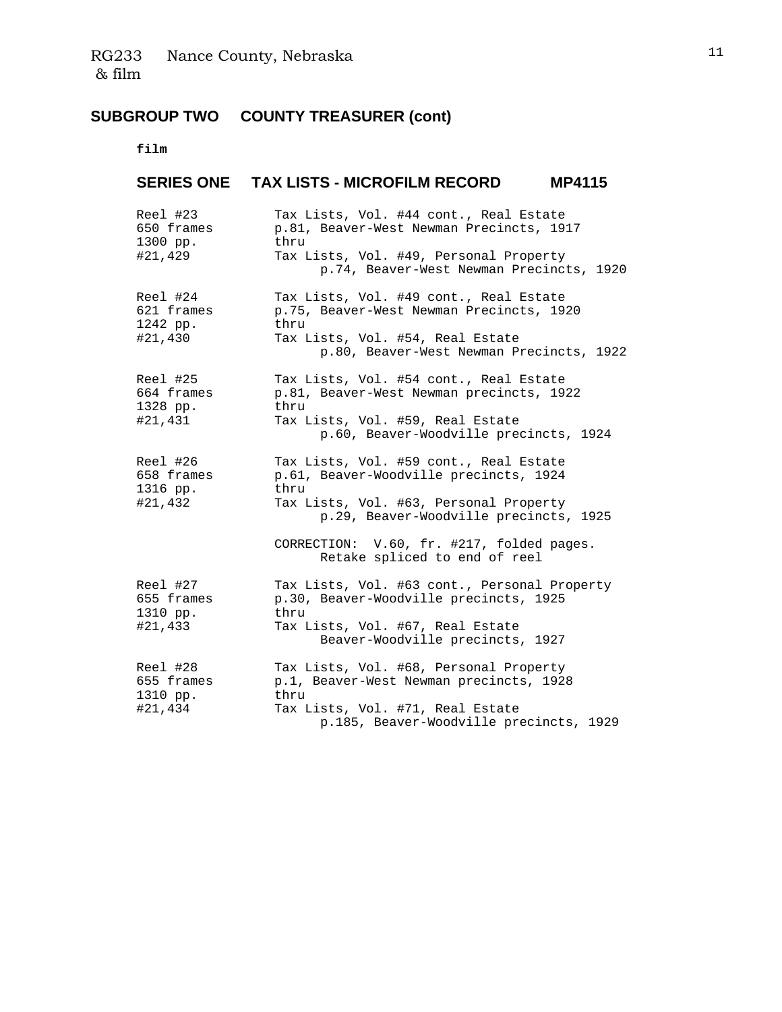| n |
|---|
|---|

|                                               | SERIES ONE TAX LISTS - MICROFILM RECORD                                                                                                                                                                                                                    | <b>MP4115</b> |
|-----------------------------------------------|------------------------------------------------------------------------------------------------------------------------------------------------------------------------------------------------------------------------------------------------------------|---------------|
| Reel #23<br>650 frames<br>1300 pp.<br>#21,429 | Tax Lists, Vol. #44 cont., Real Estate<br>p.81, Beaver-West Newman Precincts, 1917<br>thru<br>Tax Lists, Vol. #49, Personal Property<br>p.74, Beaver-West Newman Precincts, 1920                                                                           |               |
| Reel #24<br>621 frames<br>1242 pp.<br>#21,430 | Tax Lists, Vol. #49 cont., Real Estate<br>p.75, Beaver-West Newman Precincts, 1920<br>thru<br>Tax Lists, Vol. #54, Real Estate<br>p.80, Beaver-West Newman Precincts, 1922                                                                                 |               |
| Reel #25<br>664 frames<br>1328 pp.<br>#21,431 | Tax Lists, Vol. #54 cont., Real Estate<br>p.81, Beaver-West Newman precincts, 1922<br>thru<br>Tax Lists, Vol. #59, Real Estate<br>p.60, Beaver-Woodville precincts, 1924                                                                                   |               |
| Reel #26<br>658 frames<br>1316 pp.<br>#21,432 | Tax Lists, Vol. #59 cont., Real Estate<br>p.61, Beaver-Woodville precincts, 1924<br>thru<br>Tax Lists, Vol. #63, Personal Property<br>p.29, Beaver-Woodville precincts, 1925<br>CORRECTION: V.60, fr. #217, folded pages.<br>Retake spliced to end of reel |               |
| Reel #27<br>655 frames<br>1310 pp.<br>#21,433 | Tax Lists, Vol. #63 cont., Personal Property<br>p.30, Beaver-Woodville precincts, 1925<br>thru<br>Tax Lists, Vol. #67, Real Estate<br>Beaver-Woodville precincts, 1927                                                                                     |               |
| Reel #28<br>655 frames<br>1310 pp.<br>#21,434 | Tax Lists, Vol. #68, Personal Property<br>p.1, Beaver-West Newman precincts, 1928<br>thru<br>Tax Lists, Vol. #71, Real Estate<br>p.185, Beaver-Woodville precincts, 1929                                                                                   |               |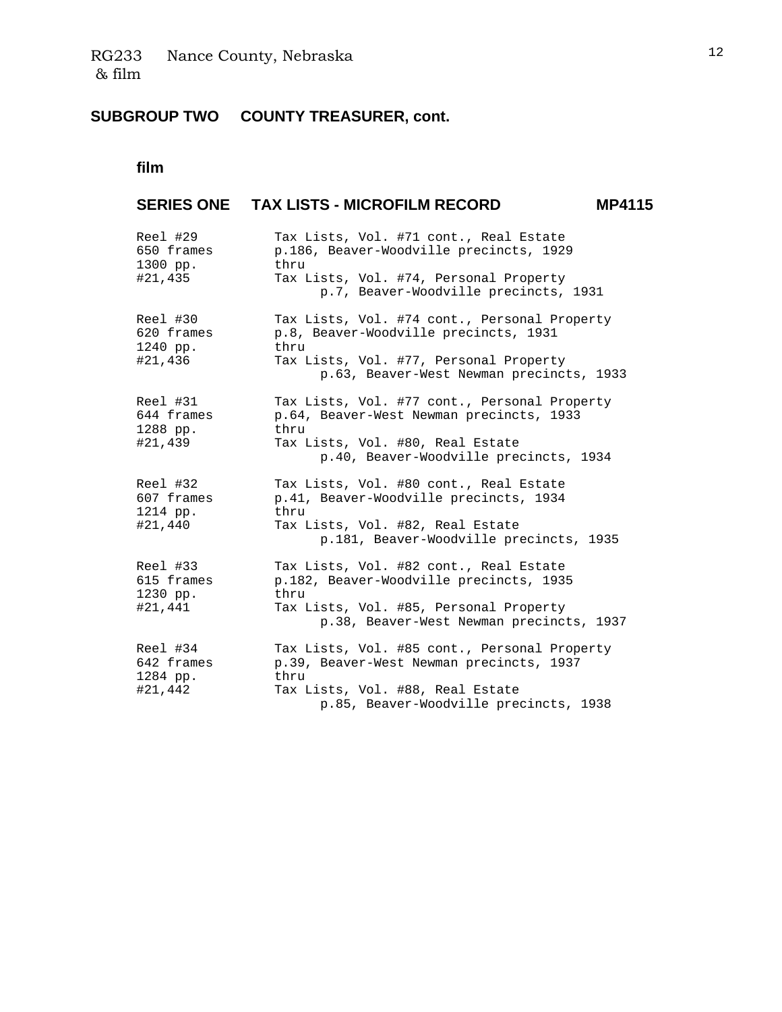# **film**

|                                               | SERIES ONE TAX LISTS - MICROFILM RECORD<br><b>MP4115</b>                                                                                                                            |
|-----------------------------------------------|-------------------------------------------------------------------------------------------------------------------------------------------------------------------------------------|
| Reel #29<br>650 frames<br>1300 pp.<br>#21,435 | Tax Lists, Vol. #71 cont., Real Estate<br>p.186, Beaver-Woodville precincts, 1929<br>thru<br>Tax Lists, Vol. #74, Personal Property<br>p.7, Beaver-Woodville precincts, 1931        |
| Reel #30<br>620 frames<br>1240 pp.<br>#21,436 | Tax Lists, Vol. #74 cont., Personal Property<br>p.8, Beaver-Woodville precincts, 1931<br>thru<br>Tax Lists, Vol. #77, Personal Property<br>p.63, Beaver-West Newman precincts, 1933 |
| Reel #31<br>644 frames<br>1288 pp.<br>#21,439 | Tax Lists, Vol. #77 cont., Personal Property<br>p.64, Beaver-West Newman precincts, 1933<br>thru<br>Tax Lists, Vol. #80, Real Estate<br>p.40, Beaver-Woodville precincts, 1934      |
| Reel #32<br>607 frames<br>1214 pp.<br>#21,440 | Tax Lists, Vol. #80 cont., Real Estate<br>p.41, Beaver-Woodville precincts, 1934<br>thru<br>Tax Lists, Vol. #82, Real Estate<br>p.181, Beaver-Woodville precincts, 1935             |
| Reel #33<br>615 frames<br>1230 pp.<br>#21,441 | Tax Lists, Vol. #82 cont., Real Estate<br>p.182, Beaver-Woodville precincts, 1935<br>thru<br>Tax Lists, Vol. #85, Personal Property<br>p.38, Beaver-West Newman precincts, 1937     |
| Reel #34<br>642 frames<br>1284 pp.<br>#21,442 | Tax Lists, Vol. #85 cont., Personal Property<br>p.39, Beaver-West Newman precincts, 1937<br>thru<br>Tax Lists, Vol. #88, Real Estate<br>p.85, Beaver-Woodville precincts, 1938      |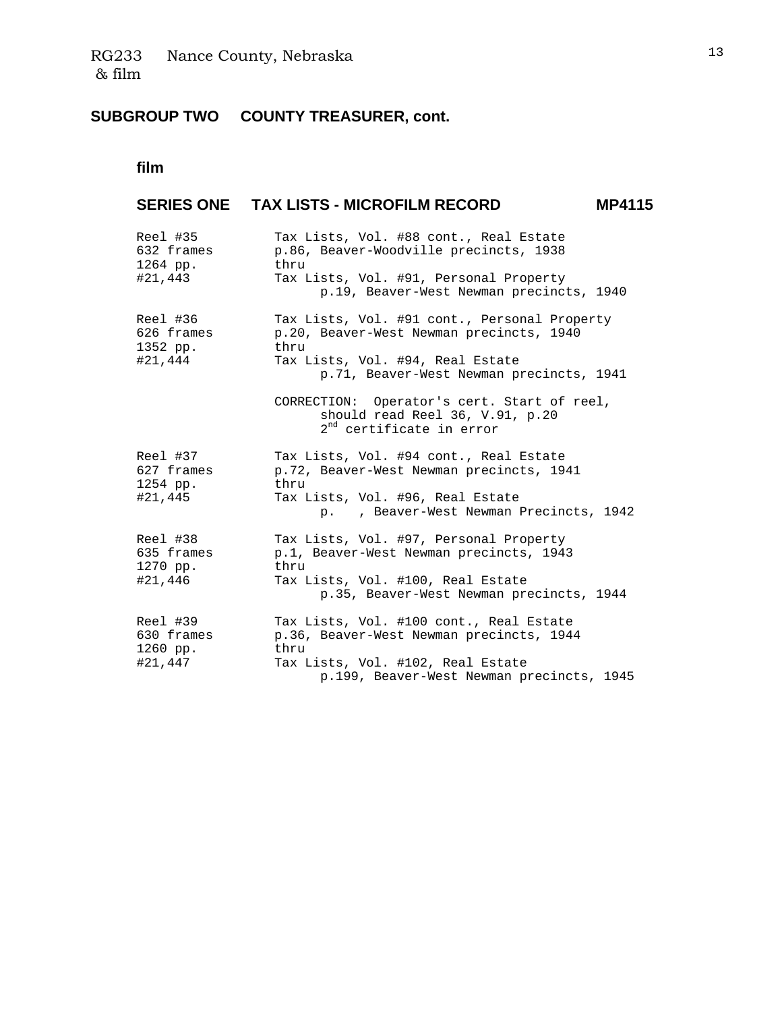# **film**

|                                    | SERIES ONE TAX LISTS - MICROFILM RECORD                                                                                | <b>MP4115</b> |
|------------------------------------|------------------------------------------------------------------------------------------------------------------------|---------------|
| Reel #35<br>632 frames<br>1264 pp. | Tax Lists, Vol. #88 cont., Real Estate<br>p.86, Beaver-Woodville precincts, 1938<br>thru                               |               |
| #21,443                            | Tax Lists, Vol. #91, Personal Property<br>p.19, Beaver-West Newman precincts, 1940                                     |               |
| Reel #36<br>626 frames<br>1352 pp. | Tax Lists, Vol. #91 cont., Personal Property<br>p.20, Beaver-West Newman precincts, 1940<br>thru                       |               |
| #21,444                            | Tax Lists, Vol. #94, Real Estate<br>p.71, Beaver-West Newman precincts, 1941                                           |               |
|                                    | CORRECTION: Operator's cert. Start of reel,<br>should read Reel 36, V.91, p.20<br>2 <sup>nd</sup> certificate in error |               |
| Reel #37<br>627 frames<br>1254 pp. | Tax Lists, Vol. #94 cont., Real Estate<br>p.72, Beaver-West Newman precincts, 1941<br>thru                             |               |
| #21,445                            | Tax Lists, Vol. #96, Real Estate<br>, Beaver-West Newman Precincts, 1942<br>p <sub>1</sub>                             |               |
| Reel #38<br>635 frames<br>1270 pp. | Tax Lists, Vol. #97, Personal Property<br>p.1, Beaver-West Newman precincts, 1943<br>thru                              |               |
| #21,446                            | Tax Lists, Vol. #100, Real Estate<br>p.35, Beaver-West Newman precincts, 1944                                          |               |
| Reel #39<br>630 frames<br>1260 pp. | Tax Lists, Vol. #100 cont., Real Estate<br>p.36, Beaver-West Newman precincts, 1944<br>thru                            |               |
| #21,447                            | Tax Lists, Vol. #102, Real Estate<br>p.199, Beaver-West Newman precincts, 1945                                         |               |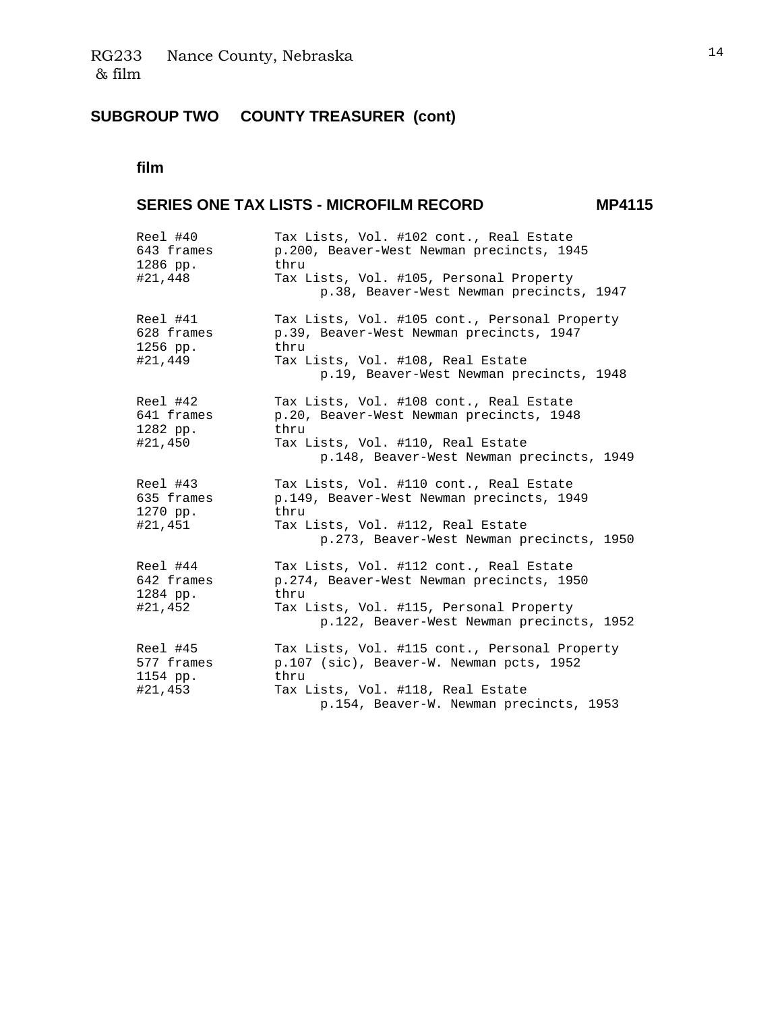#### **film**

#### **SERIES ONE TAX LISTS - MICROFILM RECORD MP4115**

Reel #40 Tax Lists, Vol. #102 cont., Real Estate<br>643 frames p.200, Beaver-West Newman precincts, 19 p.200, Beaver-West Newman precincts, 1945 1286 pp. thru #21,448 Tax Lists, Vol. #105, Personal Property p.38, Beaver-West Newman precincts, 1947 Reel #41 Tax Lists, Vol. #105 cont., Personal Property 628 frames p.39, Beaver-West Newman precincts, 1947 1256 pp. thru<br>#21,449 Tax J Tax Lists, Vol. #108, Real Estate p.19, Beaver-West Newman precincts, 1948 Reel #42 Tax Lists, Vol. #108 cont., Real Estate<br>641 frames p.20, Beaver-West Newman precincts, 1948 p.20, Beaver-West Newman precincts, 1948 1282 pp. thru #21,450 Tax Lists, Vol. #110, Real Estate p.148, Beaver-West Newman precincts, 1949 Reel #43 Tax Lists, Vol. #110 cont., Real Estate 635 frames p.149, Beaver-West Newman precincts, 1949 1270 pp. thru<br>#21,451 Tax J Tax Lists, Vol. #112, Real Estate p.273, Beaver-West Newman precincts, 1950 Reel #44 Tax Lists, Vol. #112 cont., Real Estate 642 frames p.274, Beaver-West Newman precincts, 1950 1284 pp. thru #21,452 Tax Lists, Vol. #115, Personal Property p.122, Beaver-West Newman precincts, 1952 Reel #45 Tax Lists, Vol. #115 cont., Personal Property 577 frames p.107 (sic), Beaver-W. Newman pcts, 1952 1154 pp. thru #21,453 Tax Lists, Vol. #118, Real Estate p.154, Beaver-W. Newman precincts, 1953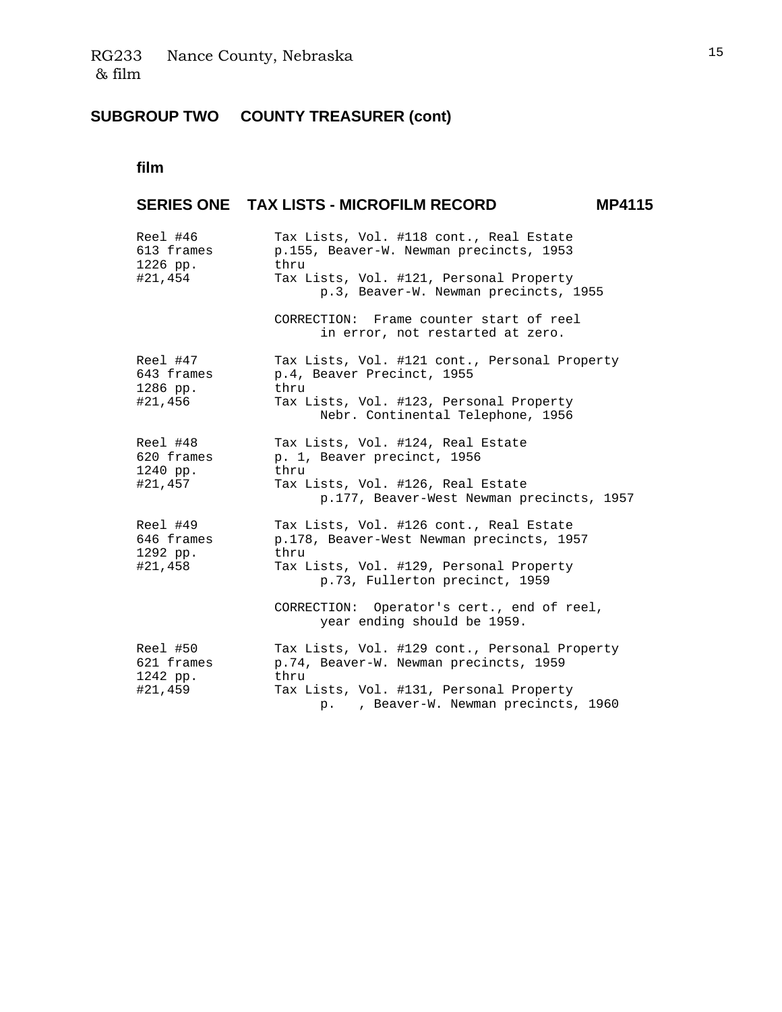# **film**

|                                               | SERIES ONE TAX LISTS - MICROFILM RECORD<br><b>MP4115</b>                                                                                                                                                                                               |
|-----------------------------------------------|--------------------------------------------------------------------------------------------------------------------------------------------------------------------------------------------------------------------------------------------------------|
| Reel #46<br>613 frames<br>1226 pp.<br>#21,454 | Tax Lists, Vol. #118 cont., Real Estate<br>p.155, Beaver-W. Newman precincts, 1953<br>thru<br>Tax Lists, Vol. #121, Personal Property<br>p.3, Beaver-W. Newman precincts, 1955                                                                         |
|                                               | CORRECTION: Frame counter start of reel<br>in error, not restarted at zero.                                                                                                                                                                            |
| Reel #47<br>643 frames<br>1286 pp.<br>#21,456 | Tax Lists, Vol. #121 cont., Personal Property<br>p.4, Beaver Precinct, 1955<br>thru<br>Tax Lists, Vol. #123, Personal Property<br>Nebr. Continental Telephone, 1956                                                                                    |
| Reel #48<br>620 frames<br>1240 pp.<br>#21,457 | Tax Lists, Vol. #124, Real Estate<br>p. 1, Beaver precinct, 1956<br>thru<br>Tax Lists, Vol. #126, Real Estate<br>p.177, Beaver-West Newman precincts, 1957                                                                                             |
| Reel #49<br>646 frames<br>1292 pp.<br>#21,458 | Tax Lists, Vol. #126 cont., Real Estate<br>p.178, Beaver-West Newman precincts, 1957<br>thru<br>Tax Lists, Vol. #129, Personal Property<br>p.73, Fullerton precinct, 1959<br>CORRECTION: Operator's cert., end of reel,<br>year ending should be 1959. |
| Reel #50<br>621 frames<br>1242 pp.<br>#21,459 | Tax Lists, Vol. #129 cont., Personal Property<br>p.74, Beaver-W. Newman precincts, 1959<br>thru<br>Tax Lists, Vol. #131, Personal Property<br>, Beaver-W. Newman precincts, 1960<br>p.                                                                 |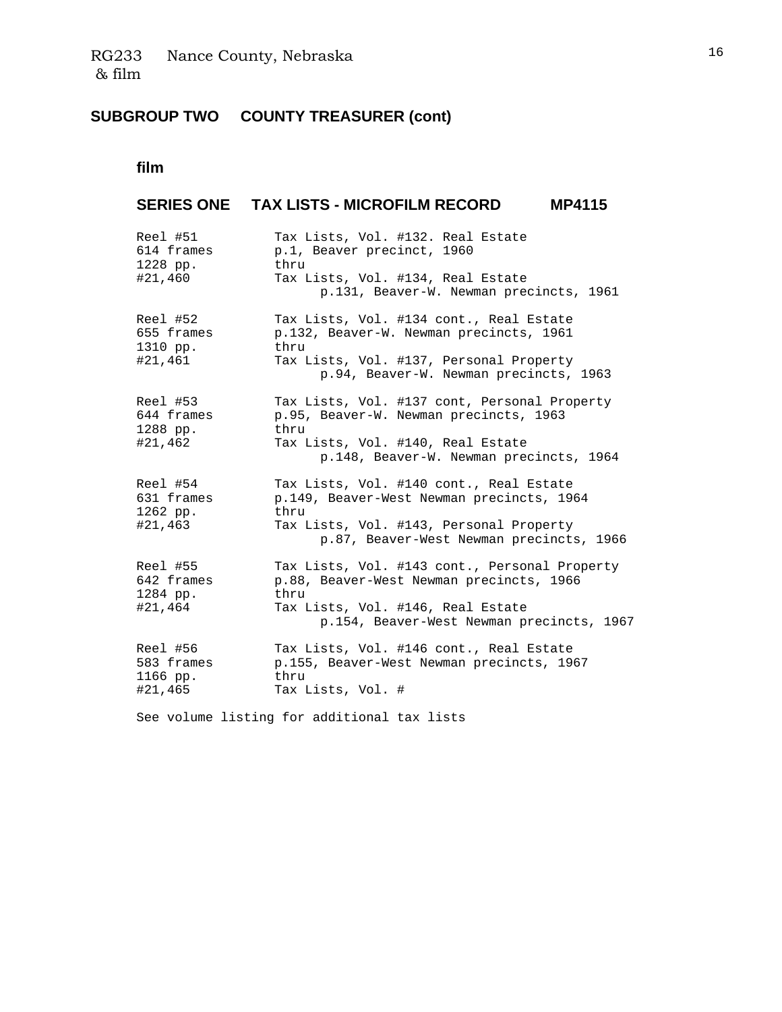# **film**

|                                               | SERIES ONE TAX LISTS - MICROFILM RECORD<br><b>MP4115</b>                                                                                                                            |
|-----------------------------------------------|-------------------------------------------------------------------------------------------------------------------------------------------------------------------------------------|
| Reel #51<br>614 frames<br>1228 pp.<br>#21,460 | Tax Lists, Vol. #132. Real Estate<br>p.1, Beaver precinct, 1960<br>thru<br>Tax Lists, Vol. #134, Real Estate<br>p.131, Beaver-W. Newman precincts, 1961                             |
| Reel #52<br>655 frames<br>1310 pp.<br>#21,461 | Tax Lists, Vol. #134 cont., Real Estate<br>p.132, Beaver-W. Newman precincts, 1961<br>thru<br>Tax Lists, Vol. #137, Personal Property<br>p.94, Beaver-W. Newman precincts, 1963     |
| Reel #53<br>644 frames<br>1288 pp.<br>#21,462 | Tax Lists, Vol. #137 cont, Personal Property<br>p.95, Beaver-W. Newman precincts, 1963<br>thru<br>Tax Lists, Vol. #140, Real Estate<br>p.148, Beaver-W. Newman precincts, 1964      |
| Reel #54<br>631 frames<br>1262 pp.<br>#21,463 | Tax Lists, Vol. #140 cont., Real Estate<br>p.149, Beaver-West Newman precincts, 1964<br>thru<br>Tax Lists, Vol. #143, Personal Property<br>p.87, Beaver-West Newman precincts, 1966 |
| Reel #55<br>642 frames<br>1284 pp.<br>#21,464 | Tax Lists, Vol. #143 cont., Personal Property<br>p.88, Beaver-West Newman precincts, 1966<br>thru<br>Tax Lists, Vol. #146, Real Estate<br>p.154, Beaver-West Newman precincts, 1967 |
| Reel #56<br>583 frames<br>1166 pp.<br>#21,465 | Tax Lists, Vol. #146 cont., Real Estate<br>p.155, Beaver-West Newman precincts, 1967<br>thru<br>Tax Lists, Vol. #                                                                   |

See volume listing for additional tax lists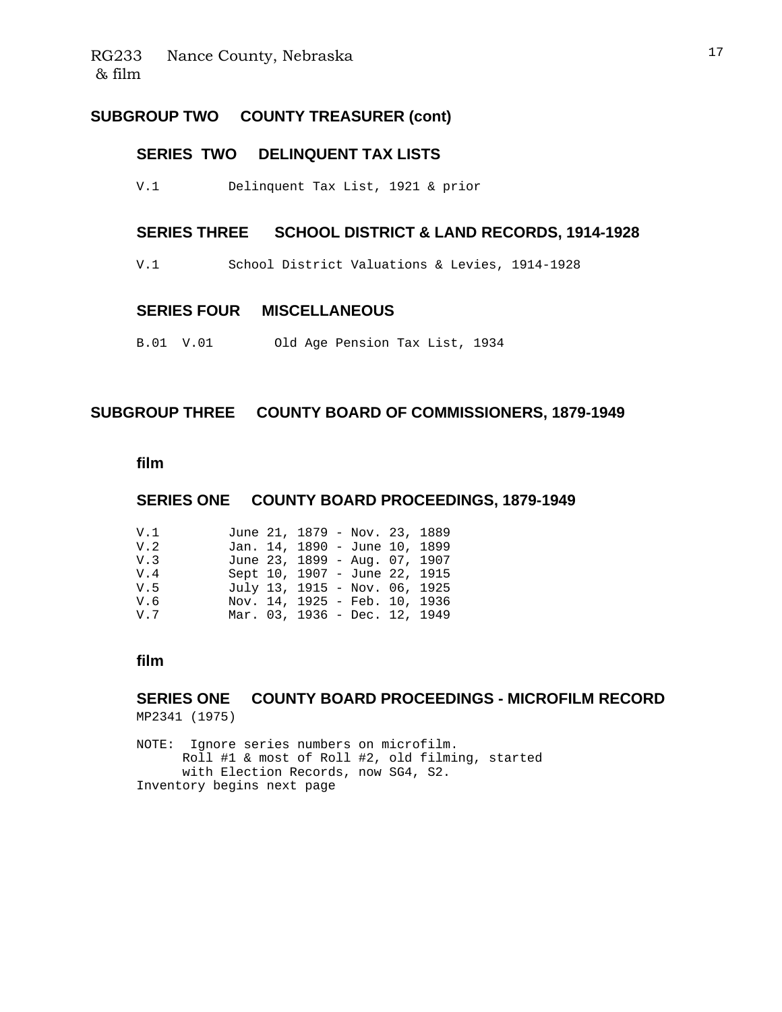#### **SUBGROUP TWO COUNTY TREASURER (cont)**

#### **SERIES TWO DELINQUENT TAX LISTS**

V.1 Delinquent Tax List, 1921 & prior

#### **SERIES THREE SCHOOL DISTRICT & LAND RECORDS, 1914-1928**

V.1 School District Valuations & Levies, 1914-1928

#### **SERIES FOUR MISCELLANEOUS**

B.01 V.01 Old Age Pension Tax List, 1934

## **SUBGROUP THREE COUNTY BOARD OF COMMISSIONERS, 1879-1949**

#### **film**

#### **SERIES ONE COUNTY BOARD PROCEEDINGS, 1879-1949**

| V.1 |  | June 21, 1879 - Nov. 23, 1889 |  |  |
|-----|--|-------------------------------|--|--|
| V.2 |  | Jan. 14, 1890 - June 10, 1899 |  |  |
| V.3 |  | June 23, 1899 - Aug. 07, 1907 |  |  |
| V.4 |  | Sept 10, 1907 - June 22, 1915 |  |  |
| V.5 |  | July 13, 1915 - Nov. 06, 1925 |  |  |
| V.6 |  | Nov. 14, 1925 - Feb. 10, 1936 |  |  |
| V.7 |  | Mar. 03, 1936 - Dec. 12, 1949 |  |  |

#### **film**

# **SERIES ONE COUNTY BOARD PROCEEDINGS - MICROFILM RECORD**

MP2341 (1975)

 NOTE: Ignore series numbers on microfilm. Roll #1 & most of Roll #2, old filming, started with Election Records, now SG4, S2. Inventory begins next page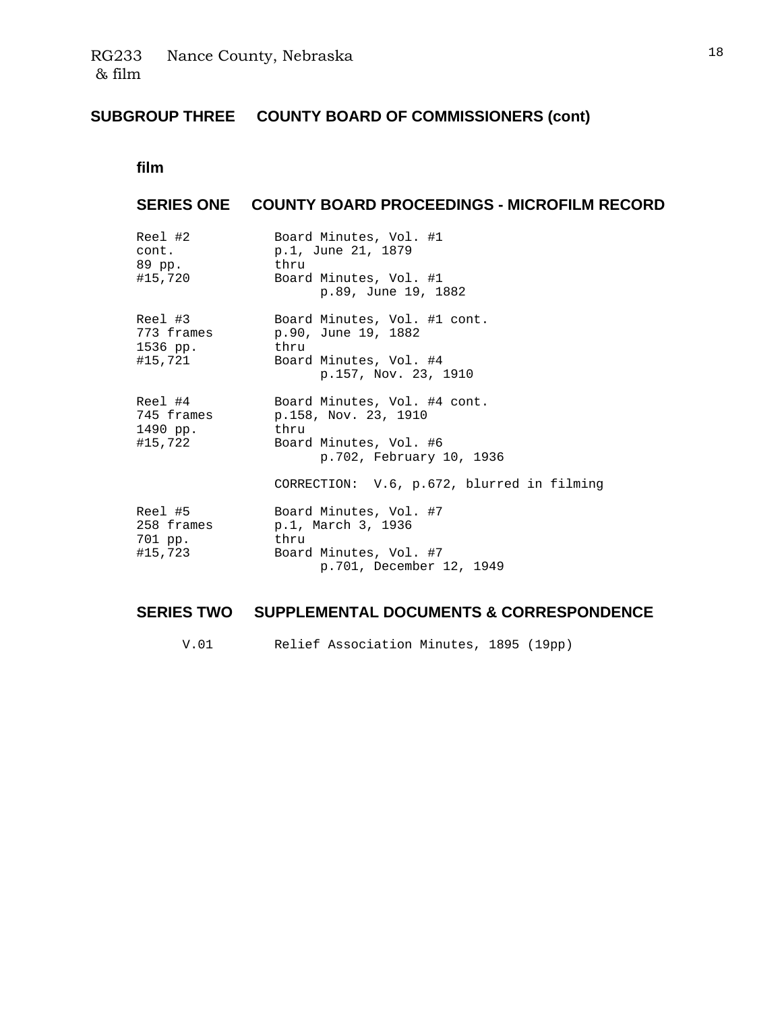# **SUBGROUP THREE COUNTY BOARD OF COMMISSIONERS (cont)**

## **film**

|                                              | SERIES ONE  COUNTY BOARD PROCEEDINGS - MICROFILM RECORD                                                                                                          |
|----------------------------------------------|------------------------------------------------------------------------------------------------------------------------------------------------------------------|
| Reel #2<br>cont.<br>89 pp.<br>#15,720        | Board Minutes, Vol. #1<br>p.1, June 21, 1879<br>thru<br>Board Minutes, Vol. #1<br>p.89, June 19, 1882                                                            |
| Reel #3<br>773 frames<br>1536 pp.<br>#15,721 | Board Minutes, Vol. #1 cont.<br>p.90, June 19, 1882<br>thru<br>Board Minutes, Vol. #4<br>p.157, Nov. 23, 1910                                                    |
| Reel #4<br>745 frames<br>1490 pp.<br>#15,722 | Board Minutes, Vol. #4 cont.<br>p.158, Nov. 23, 1910<br>thru<br>Board Minutes, Vol. #6<br>p.702, February 10, 1936<br>CORRECTION: V.6, p.672, blurred in filming |
| Reel #5<br>258 frames<br>701 pp.<br>#15,723  | Board Minutes, Vol. #7<br>p.1, March 3, 1936<br>thru<br>Board Minutes, Vol. #7<br>p.701, December 12, 1949                                                       |

## **SERIES TWO SUPPLEMENTAL DOCUMENTS & CORRESPONDENCE**

V.01 Relief Association Minutes, 1895 (19pp)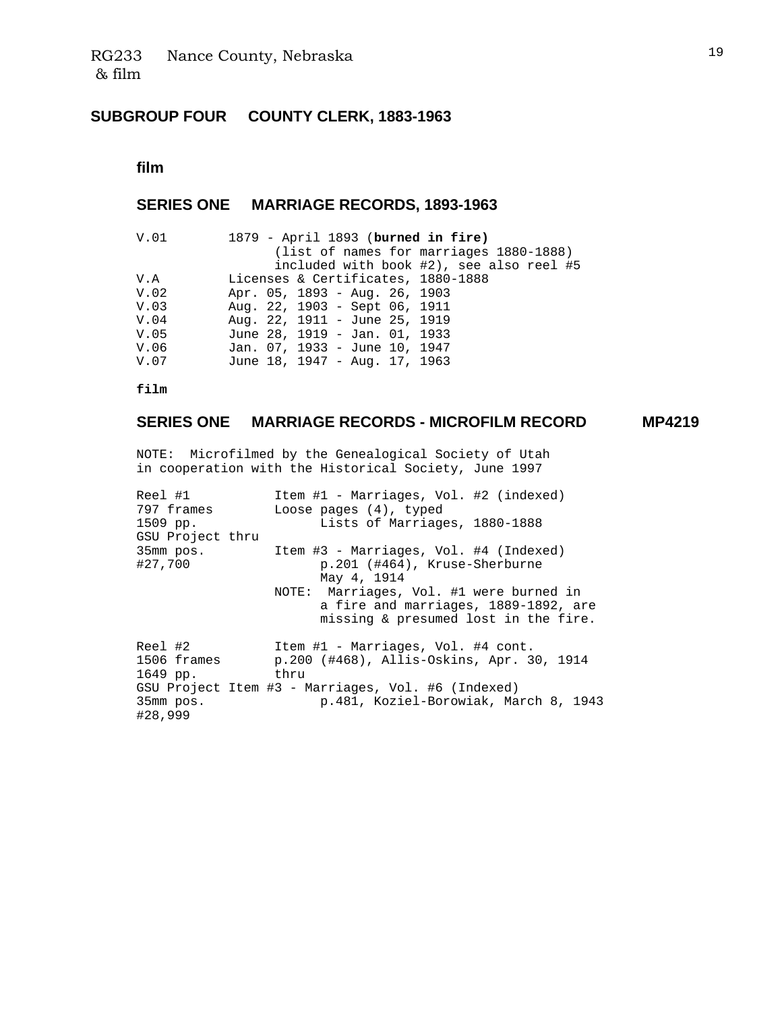## **SUBGROUP FOUR COUNTY CLERK, 1883-1963**

 **film** 

#### **SERIES ONE MARRIAGE RECORDS, 1893-1963**

| V.O1 | $1879$ - April 1893 (burned in fire)     |
|------|------------------------------------------|
|      | (list of names for marriages 1880-1888)  |
|      | included with book #2), see also reel #5 |
| V.A  | Licenses & Certificates, 1880-1888       |
| V.02 | Apr. 05, 1893 - Aug. 26, 1903            |
| V.03 | Aug. 22, 1903 - Sept 06, 1911            |
| V.04 | Aug. 22, 1911 - June 25, 1919            |
| V.05 | June 28, 1919 - Jan. 01, 1933            |
| V.06 | Jan. 07, 1933 - June 10, 1947            |
| V.07 | June 18, 1947 - Aug. 17, 1963            |

 **film** 

#### **SERIES ONE MARRIAGE RECORDS - MICROFILM RECORD MP4219**

 NOTE: Microfilmed by the Genealogical Society of Utah in cooperation with the Historical Society, June 1997

| Reel #1<br>797 frames<br>1509 pp.<br>GSU Project thru | Item #1 - Marriages, Vol. #2 (indexed)<br>Loose pages $(4)$ , typed<br>Lists of Marriages, 1880-1888                    |
|-------------------------------------------------------|-------------------------------------------------------------------------------------------------------------------------|
| 35mm pos.<br>#27,700                                  | Item #3 - Marriages, Vol. #4 (Indexed)<br>p.201 (#464), Kruse-Sherburne<br>May 4, 1914                                  |
|                                                       | NOTE: Marriages, Vol. #1 were burned in<br>a fire and marriages, 1889-1892, are<br>missing & presumed lost in the fire. |
| Reel #2<br>1506 frames<br>1649 pp.                    | Item #1 - Marriages, Vol. #4 cont.<br>p.200 (#468), Allis-Oskins, Apr. 30, 1914<br>thru                                 |
| 35mm pos.<br>#28,999                                  | GSU Project Item #3 - Marriages, Vol. #6 (Indexed)<br>p.481, Koziel-Borowiak, March 8, 1943                             |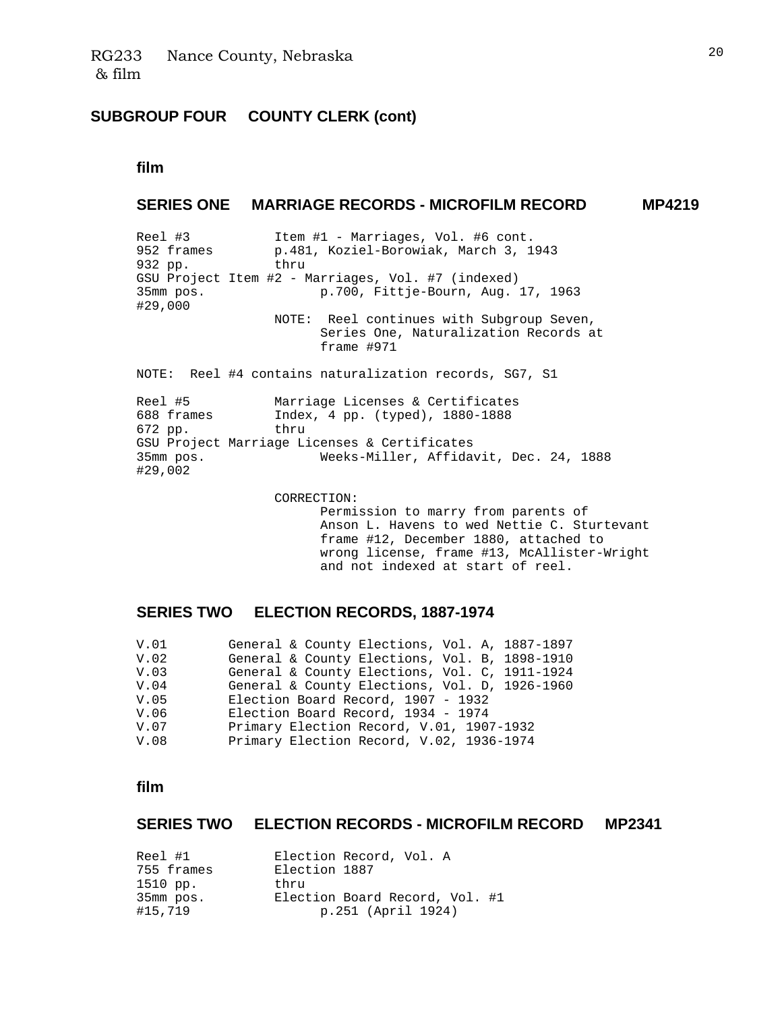## **SUBGROUP FOUR COUNTY CLERK (cont)**

 **film** 

#### **SERIES ONE MARRIAGE RECORDS - MICROFILM RECORD MP4219**

Reel #3 Item #1 - Marriages, Vol. #6 cont.<br>952 frames p.481, Koziel-Borowiak, March 3, 1 952 frames p.481, Koziel-Borowiak, March 3, 1943 932 pp. thru GSU Project Item #2 - Marriages, Vol. #7 (indexed) 35mm pos. p.700, Fittje-Bourn, Aug. 17, 1963 #29,000 NOTE: Reel continues with Subgroup Seven, Series One, Naturalization Records at frame #971 NOTE: Reel #4 contains naturalization records, SG7, S1 Reel #5 Marriage Licenses & Certificates<br>688 frames 1ndex, 4 pp. (typed), 1880-1888 Index,  $4$  pp. (typed),  $1880-1888$ <br>thru 672 pp. GSU Project Marriage Licenses & Certificates 35mm pos. Weeks-Miller, Affidavit, Dec. 24, 1888 #29,002 CORRECTION:

 Permission to marry from parents of Anson L. Havens to wed Nettie C. Sturtevant frame #12, December 1880, attached to wrong license, frame #13, McAllister-Wright and not indexed at start of reel.

#### **SERIES TWO ELECTION RECORDS, 1887-1974**

| V.01 | General & County Elections, Vol. A, 1887-1897 |
|------|-----------------------------------------------|
| V.02 | General & County Elections, Vol. B, 1898-1910 |
| V.03 | General & County Elections, Vol. C, 1911-1924 |
| V.04 | General & County Elections, Vol. D, 1926-1960 |
| V.05 | Election Board Record, 1907 - 1932            |
| V.06 | Election Board Record, 1934 - 1974            |
| V.07 | Primary Election Record, V.01, 1907-1932      |
| V.08 | Primary Election Record, V.02, 1936-1974      |

#### **film**

#### **SERIES TWO ELECTION RECORDS - MICROFILM RECORD MP2341**

| Reel #1    | Election Record, Vol. A        |
|------------|--------------------------------|
| 755 frames | Election 1887                  |
| 1510 pp.   | thru                           |
| 35mm pos.  | Election Board Record, Vol. #1 |
| #15,719    | p.251 (April 1924)             |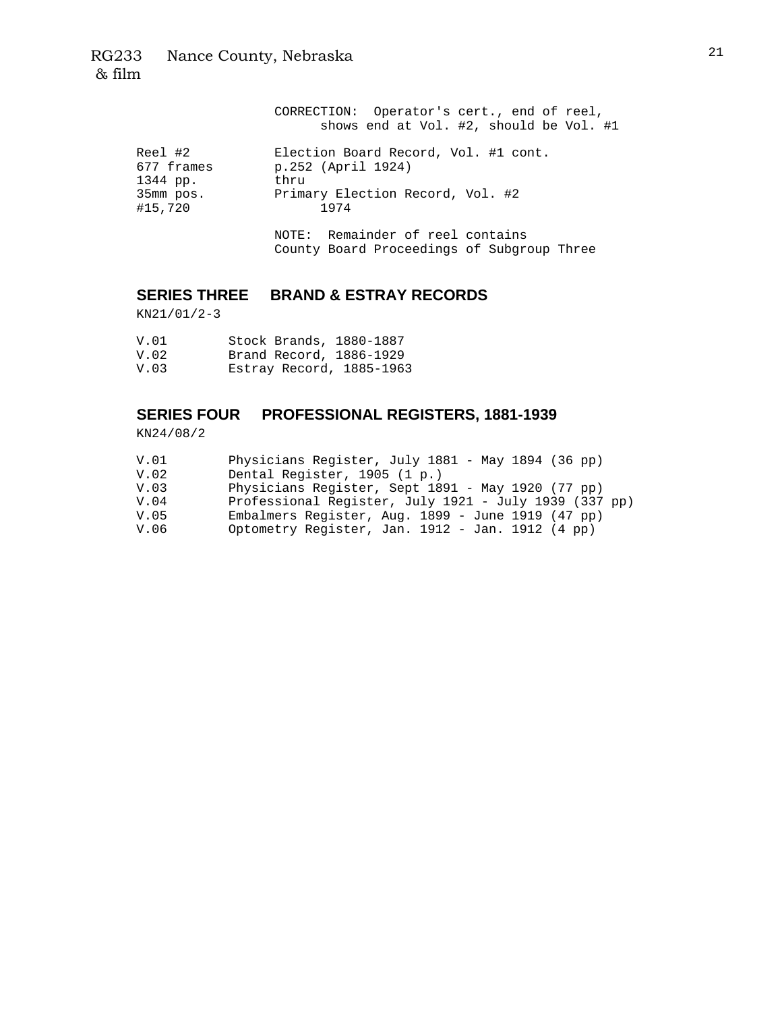|                                                           | CORRECTION: Operator's cert., end of reel,<br>shows end at Vol. #2, should be Vol. #1                          |
|-----------------------------------------------------------|----------------------------------------------------------------------------------------------------------------|
| Reel #2<br>677 frames<br>1344 pp.<br>35mm pos.<br>#15,720 | Election Board Record, Vol. #1 cont.<br>p.252 (April 1924)<br>thru<br>Primary Election Record, Vol. #2<br>1974 |
|                                                           | Remainder of reel contains<br>NOTE:<br>County Board Proceedings of Subgroup Three                              |

## **SERIES THREE BRAND & ESTRAY RECORDS**

KN21/01/2-3

- V.02 Brand Record, 1886-1929
- Estray Record, 1885-1963

#### **SERIES FOUR PROFESSIONAL REGISTERS, 1881-1939**

KN24/08/2

- V.01 Physicians Register, July 1881 May 1894 (36 pp)
- Dental Register, 1905 (1 p.)
- V.03 Physicians Register, Sept 1891 May 1920 (77 pp) V.04 Professional Register, July 1921 - July 1939 (337 pp)
- V.05 Embalmers Register, Aug. 1899 June 1919 (47 pp)
- V.06 Optometry Register, Jan. 1912 Jan. 1912 (4 pp)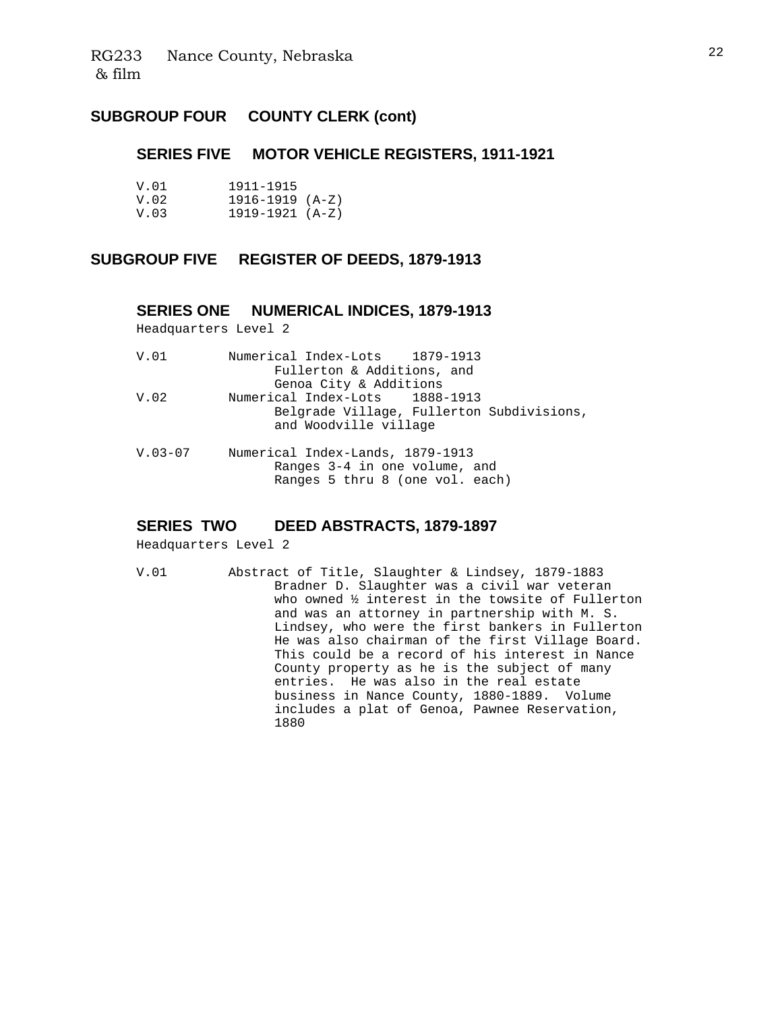#### **SUBGROUP FOUR COUNTY CLERK (cont)**

#### **SERIES FIVE MOTOR VEHICLE REGISTERS, 1911-1921**

| V.O1 | 1911-1915           |
|------|---------------------|
| V.02 | $1916 - 1919 (A-Z)$ |
| V.03 | $1919 - 1921 (A-Z)$ |

**SUBGROUP FIVE REGISTER OF DEEDS, 1879-1913** 

#### **SERIES ONE NUMERICAL INDICES, 1879-1913**

Headquarters Level 2

| V.01      | Numerical Index-Lots 1879-1913<br>Fullerton & Additions, and                                         |
|-----------|------------------------------------------------------------------------------------------------------|
|           | Genoa City & Additions                                                                               |
| V.02      | Numerical Index-Lots 1888-1913<br>Belgrade Village, Fullerton Subdivisions,<br>and Woodville village |
| $V.03-07$ | Numerical Index-Lands, 1879-1913<br>Ranges 3-4 in one volume, and<br>Ranges 5 thru 8 (one vol. each) |

#### **SERIES TWO DEED ABSTRACTS, 1879-1897**

Headquarters Level 2

 V.01 Abstract of Title, Slaughter & Lindsey, 1879-1883 Bradner D. Slaughter was a civil war veteran who owned ½ interest in the towsite of Fullerton and was an attorney in partnership with M. S. Lindsey, who were the first bankers in Fullerton He was also chairman of the first Village Board. This could be a record of his interest in Nance County property as he is the subject of many entries. He was also in the real estate business in Nance County, 1880-1889. Volume includes a plat of Genoa, Pawnee Reservation, 1880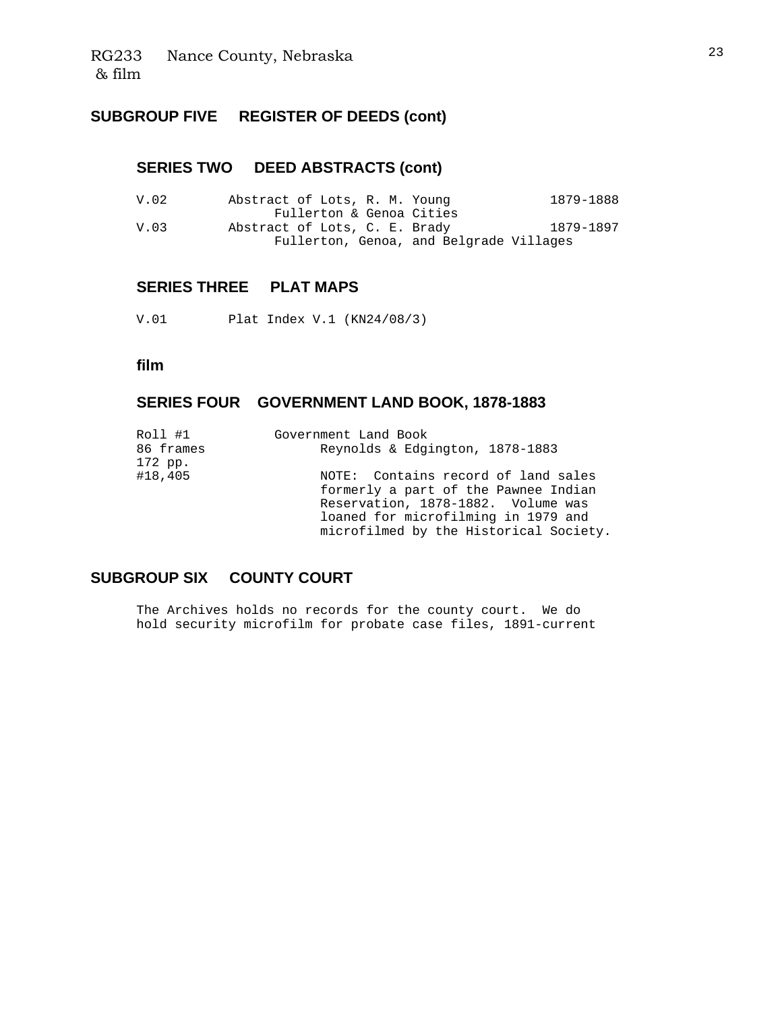## **SUBGROUP FIVE REGISTER OF DEEDS (cont)**

## **SERIES TWO DEED ABSTRACTS (cont)**

| V.02 | Abstract of Lots, R. M. Young           | 1879-1888 |
|------|-----------------------------------------|-----------|
|      | Fullerton & Genoa Cities                |           |
| V.03 | Abstract of Lots, C. E. Brady           | 1879-1897 |
|      | Fullerton, Genoa, and Belgrade Villages |           |

## **SERIES THREE PLAT MAPS**

V.01 Plat Index V.1 (KN24/08/3)

 **film**

## **SERIES FOUR GOVERNMENT LAND BOOK, 1878-1883**

| Roll #1   | Government Land Book                   |
|-----------|----------------------------------------|
| 86 frames | Reynolds & Edgington, 1878-1883        |
| 172 pp.   |                                        |
| #18,405   | NOTE: Contains record of land sales    |
|           | formerly a part of the Pawnee Indian   |
|           | Reservation, 1878-1882. Volume was     |
|           | loaned for microfilming in 1979 and    |
|           | microfilmed by the Historical Society. |
|           |                                        |

## **SUBGROUP SIX COUNTY COURT**

 The Archives holds no records for the county court. We do hold security microfilm for probate case files, 1891-current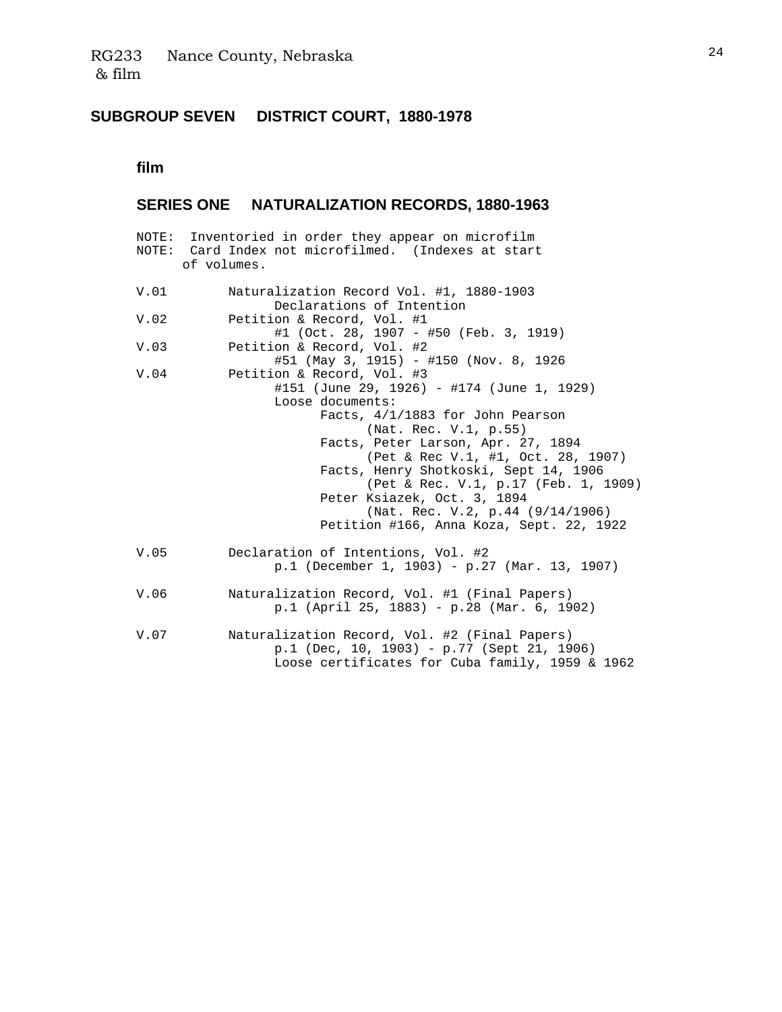# **SUBGROUP SEVEN DISTRICT COURT, 1880-1978**

## **film**

## **SERIES ONE NATURALIZATION RECORDS, 1880-1963**

|      | NOTE: Inventoried in order they appear on microfilm<br>NOTE: Card Index not microfilmed. (Indexes at start<br>of volumes.                                                                                                                                                                                                                                                                                                                   |
|------|---------------------------------------------------------------------------------------------------------------------------------------------------------------------------------------------------------------------------------------------------------------------------------------------------------------------------------------------------------------------------------------------------------------------------------------------|
| V.01 | Naturalization Record Vol. #1, 1880-1903<br>Declarations of Intention                                                                                                                                                                                                                                                                                                                                                                       |
| V.02 | Petition & Record, Vol. #1<br>#1 (Oct. 28, 1907 - #50 (Feb. 3, 1919)                                                                                                                                                                                                                                                                                                                                                                        |
| V.03 | Petition & Record, Vol. #2<br>#51 (May 3, 1915) - #150 (Nov. 8, 1926                                                                                                                                                                                                                                                                                                                                                                        |
| V.04 | Petition & Record, Vol. #3<br>$\#151$ (June 29, 1926) - $\#174$ (June 1, 1929)<br>Loose documents:<br>Facts, 4/1/1883 for John Pearson<br>(Nat. Rec. V.1, p.55)<br>Facts, Peter Larson, Apr. 27, 1894<br>(Pet & Rec V.1, #1, Oct. 28, 1907)<br>Facts, Henry Shotkoski, Sept 14, 1906<br>(Pet & Rec. V.1, p.17 (Feb. 1, 1909)<br>Peter Ksiazek, Oct. 3, 1894<br>(Nat. Rec. V.2, p.44 (9/14/1906)<br>Petition #166, Anna Koza, Sept. 22, 1922 |
| V.05 | Declaration of Intentions, Vol. #2<br>p.1 (December 1, 1903) - p.27 (Mar. 13, 1907)                                                                                                                                                                                                                                                                                                                                                         |
| V.06 | Naturalization Record, Vol. #1 (Final Papers)<br>p.1 (April 25, 1883) - p.28 (Mar. 6, 1902)                                                                                                                                                                                                                                                                                                                                                 |
| V.07 | Naturalization Record, Vol. #2 (Final Papers)<br>p.1 (Dec, 10, 1903) - p.77 (Sept 21, 1906)<br>Loose certificates for Cuba family, 1959 & 1962                                                                                                                                                                                                                                                                                              |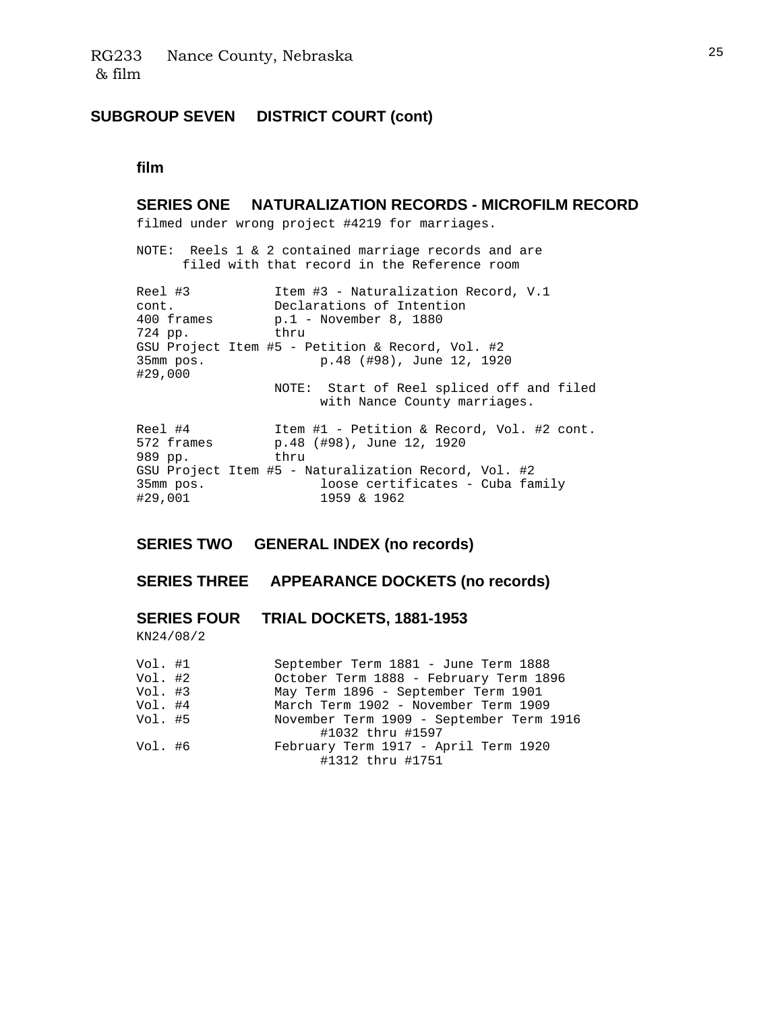# **SUBGROUP SEVEN DISTRICT COURT (cont)**

#### **film**

#### **SERIES ONE NATURALIZATION RECORDS - MICROFILM RECORD**

filmed under wrong project #4219 for marriages.

 NOTE: Reels 1 & 2 contained marriage records and are filed with that record in the Reference room

| Reel #3<br>cont.<br>400 frames | Item #3 - Naturalization Record, V.1<br>Declarations of Intention<br>$p.1$ - November 8, 1880 |
|--------------------------------|-----------------------------------------------------------------------------------------------|
| 724 pp.                        | thru                                                                                          |
|                                | GSU Project Item #5 - Petition & Record, Vol. #2                                              |
| 35mm pos.<br>#29,000           | p.48 (#98), June 12, 1920                                                                     |
|                                | NOTE: Start of Reel spliced off and filed<br>with Nance County marriages.                     |
| Reel #4                        | Item #1 - Petition & Record, Vol. #2 cont.                                                    |
| 572 frames                     | p.48 (#98), June 12, 1920                                                                     |
| 989 pp.                        | thru                                                                                          |
|                                | GSU Project Item #5 - Naturalization Record, Vol. #2                                          |
| 35mm pos.<br>#29,001           | loose certificates - Cuba family<br>1959 & 1962                                               |
|                                |                                                                                               |

## **SERIES TWO GENERAL INDEX (no records)**

## **SERIES THREE APPEARANCE DOCKETS (no records)**

#### **SERIES FOUR TRIAL DOCKETS, 1881-1953**

KN24/08/2

| Vol. #1   | September Term 1881 - June Term 1888                     |
|-----------|----------------------------------------------------------|
| Vol. #2   | October Term 1888 - February Term 1896                   |
| Vol. $#3$ | May Term 1896 - September Term 1901                      |
| Vol. #4   | March Term 1902 - November Term 1909                     |
| Vol. #5   | November Term 1909 - September Term 1916                 |
|           | #1032 thru #1597                                         |
| Vol. #6   | February Term 1917 - April Term 1920<br>#1312 thru #1751 |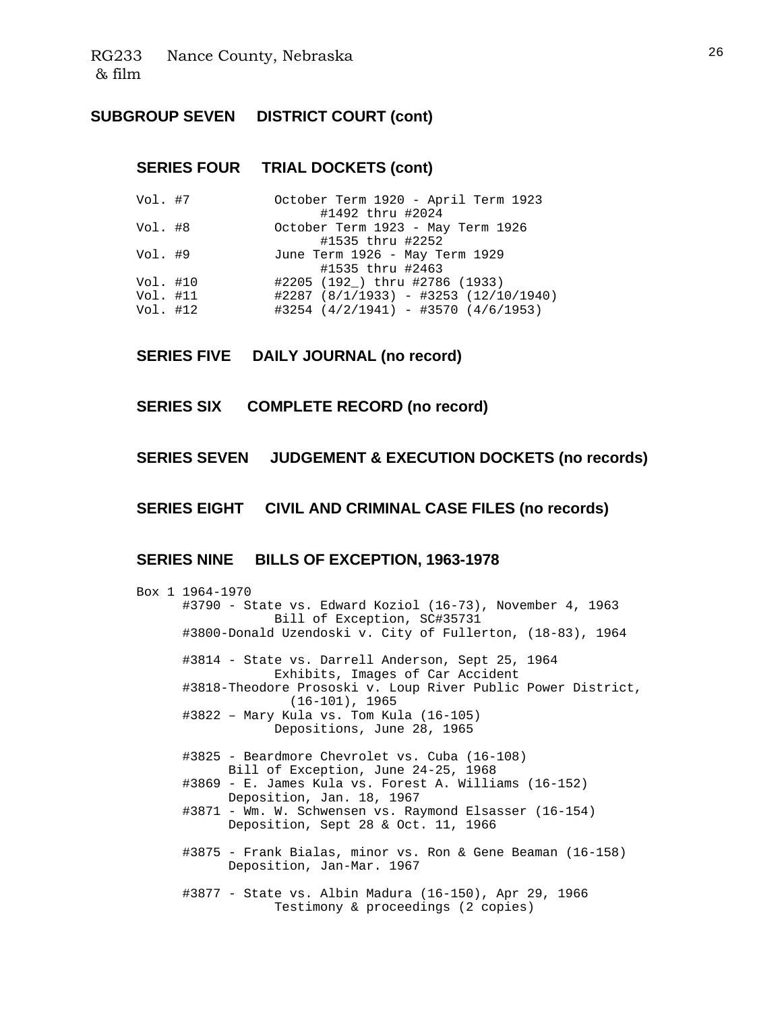**SUBGROUP SEVEN DISTRICT COURT (cont)** 

## **SERIES FOUR TRIAL DOCKETS (cont)**

| Vol. #7   | October Term 1920 - April Term 1923   |
|-----------|---------------------------------------|
|           | #1492 thru #2024                      |
| Vol. #8   | October Term 1923 - May Term 1926     |
|           | #1535 thru #2252                      |
| $Vol.$ #9 | June Term 1926 - May Term 1929        |
|           | #1535 thru #2463                      |
| Vol. #10  | #2205 (192) thru #2786 (1933)         |
| Vol. #11  | #2287 (8/1/1933) - #3253 (12/10/1940) |
| Vol. #12  | #3254 (4/2/1941) - #3570 (4/6/1953)   |

 **SERIES FIVE DAILY JOURNAL (no record)** 

**SERIES SIX COMPLETE RECORD (no record)** 

 **SERIES SEVEN JUDGEMENT & EXECUTION DOCKETS (no records)** 

**SERIES EIGHT CIVIL AND CRIMINAL CASE FILES (no records)** 

## **SERIES NINE BILLS OF EXCEPTION, 1963-1978**

| Box 1 1964-1970                                                                                         |
|---------------------------------------------------------------------------------------------------------|
| #3790 - State vs. Edward Koziol (16-73), November 4, 1963<br>Bill of Exception, SC#35731                |
| #3800-Donald Uzendoski v. City of Fullerton, (18-83), 1964                                              |
| #3814 - State vs. Darrell Anderson, Sept 25, 1964<br>Exhibits, Images of Car Accident                   |
| #3818-Theodore Prososki v. Loup River Public Power District,<br>$(16-101)$ , 1965                       |
| $\#3822$ - Mary Kula vs. Tom Kula (16-105)<br>Depositions, June 28, 1965                                |
| #3825 - Beardmore Chevrolet vs. Cuba (16-108)<br>Bill of Exception, June 24-25, 1968                    |
| #3869 - E. James Kula vs. Forest A. Williams (16-152)<br>Deposition, Jan. 18, 1967                      |
| $\text{\#3871}$ - Wm. W. Schwensen vs. Raymond Elsasser (16-154)<br>Deposition, Sept 28 & Oct. 11, 1966 |
| #3875 - Frank Bialas, minor vs. Ron & Gene Beaman (16-158)<br>Deposition, Jan-Mar. 1967                 |
| #3877 - State vs. Albin Madura (16-150), Apr 29, 1966<br>Testimony & proceedings (2 copies)             |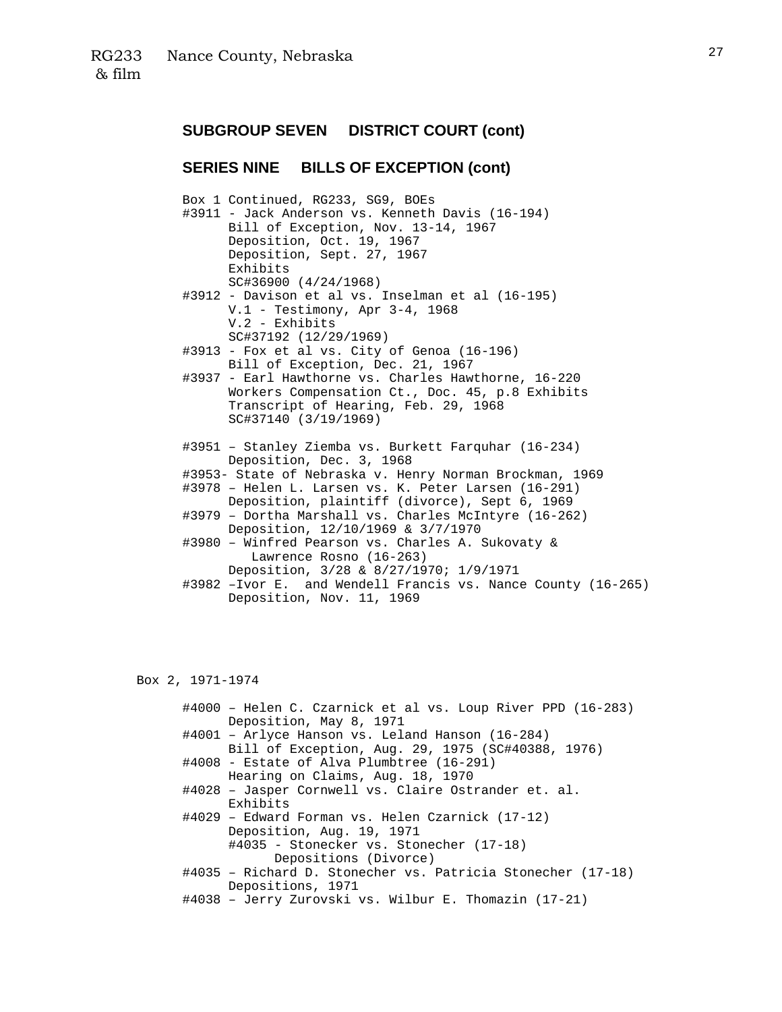# **SUBGROUP SEVEN DISTRICT COURT (cont)**

# **SERIES NINE BILLS OF EXCEPTION (cont)**

| Box 1 Continued, RG233, SG9, BOEs<br>#3911 - Jack Anderson vs. Kenneth Davis (16-194)<br>Bill of Exception, Nov. 13-14, 1967<br>Deposition, Oct. 19, 1967<br>Deposition, Sept. 27, 1967<br>Exhibits |
|-----------------------------------------------------------------------------------------------------------------------------------------------------------------------------------------------------|
| SC#36900 (4/24/1968)<br>#3912 - Davison et al vs. Inselman et al (16-195)<br>$V.1$ - Testimony, Apr 3-4, 1968<br>$V.2 -$ Exhibits<br>SC#37192 (12/29/1969)                                          |
| $\#3913$ - Fox et al vs. City of Genoa (16-196)<br>Bill of Exception, Dec. 21, 1967                                                                                                                 |
| #3937 - Earl Hawthorne vs. Charles Hawthorne, 16-220<br>Workers Compensation Ct., Doc. 45, p.8 Exhibits<br>Transcript of Hearing, Feb. 29, 1968<br>SC#37140 (3/19/1969)                             |
| #3951 - Stanley Ziemba vs. Burkett Farquhar (16-234)<br>Deposition, Dec. 3, 1968                                                                                                                    |
| #3953- State of Nebraska v. Henry Norman Brockman, 1969                                                                                                                                             |
| #3978 - Helen L. Larsen vs. K. Peter Larsen (16-291)<br>Deposition, plaintiff (divorce), Sept 6, 1969                                                                                               |
| #3979 - Dortha Marshall vs. Charles McIntyre (16-262)<br>Deposition, 12/10/1969 & 3/7/1970                                                                                                          |
| #3980 - Winfred Pearson vs. Charles A. Sukovaty &<br>Lawrence Rosno (16-263)<br>Deposition, 3/28 & 8/27/1970; 1/9/1971                                                                              |
| #3982 -Ivor E. and Wendell Francis vs. Nance County (16-265)<br>Deposition, Nov. 11, 1969                                                                                                           |

#### Box 2, 1971-1974

| #4000 - Helen C. Czarnick et al vs. Loup River PPD (16-283) |
|-------------------------------------------------------------|
| Deposition, May 8, 1971                                     |
| #4001 - Arlyce Hanson vs. Leland Hanson (16-284)            |
| Bill of Exception, Aug. 29, 1975 (SC#40388, 1976)           |
| $\#4008$ - Estate of Alva Plumbtree (16-291)                |
| Hearing on Claims, Aug. 18, 1970                            |
| #4028 - Jasper Cornwell vs. Claire Ostrander et. al.        |
| Exhibits                                                    |
| $\#4029$ - Edward Forman vs. Helen Czarnick (17-12)         |
| Deposition, Aug. 19, 1971                                   |
| #4035 - Stonecker vs. Stonecher (17-18)                     |
| Depositions (Divorce)                                       |
| #4035 - Richard D. Stonecher vs. Patricia Stonecher (17-18) |
| Depositions, 1971                                           |
| #4038 - Jerry Zurovski vs. Wilbur E. Thomazin (17-21)       |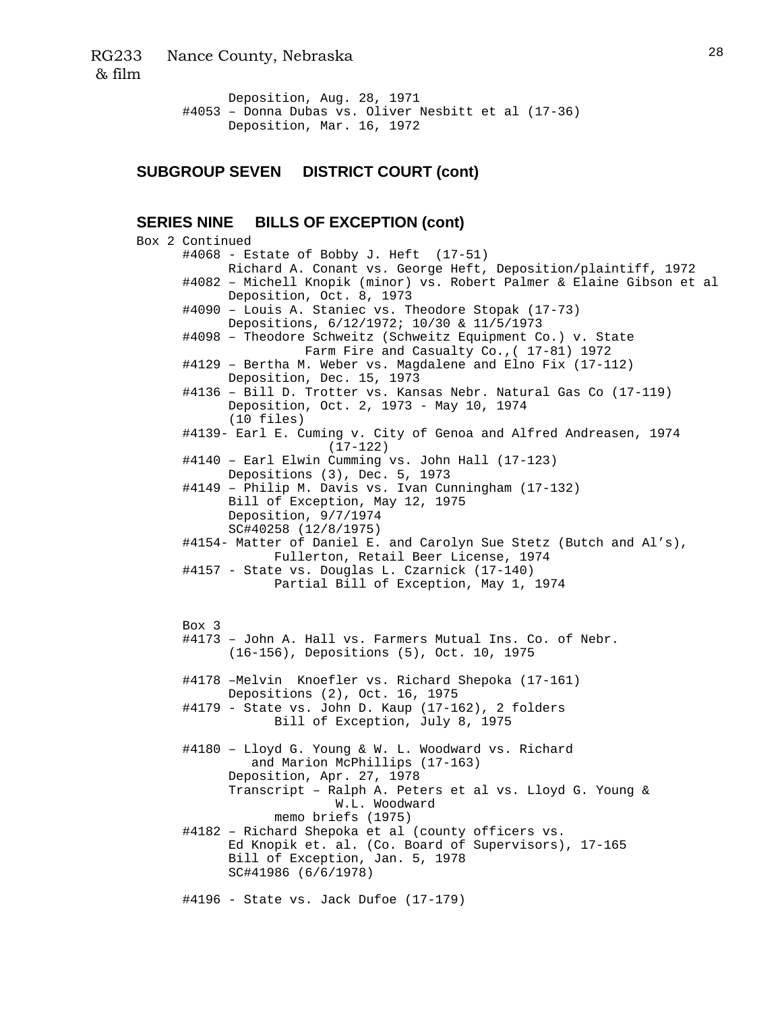RG233 Nance County, Nebraska

& film

```
 Deposition, Aug. 28, 1971 
#4053 – Donna Dubas vs. Oliver Nesbitt et al (17-36) 
      Deposition, Mar. 16, 1972
```
#### **SUBGROUP SEVEN DISTRICT COURT (cont)**

#### **SERIES NINE BILLS OF EXCEPTION (cont)**

```
 Box 2 Continued 
     #4068 - Estate of Bobby J. Heft (17-51) 
            Richard A. Conant vs. George Heft, Deposition/plaintiff, 1972 
      #4082 – Michell Knopik (minor) vs. Robert Palmer & Elaine Gibson et al 
            Deposition, Oct. 8, 1973 
      #4090 – Louis A. Staniec vs. Theodore Stopak (17-73) 
            Depositions, 6/12/1972; 10/30 & 11/5/1973 
     #4098 – Theodore Schweitz (Schweitz Equipment Co.) v. State 
                       Farm Fire and Casualty Co.,( 17-81) 1972 
      #4129 – Bertha M. Weber vs. Magdalene and Elno Fix (17-112) 
            Deposition, Dec. 15, 1973 
      #4136 – Bill D. Trotter vs. Kansas Nebr. Natural Gas Co (17-119) 
            Deposition, Oct. 2, 1973 - May 10, 1974 
            (10 files) 
      #4139- Earl E. Cuming v. City of Genoa and Alfred Andreasen, 1974 
                          (17-122) 
      #4140 – Earl Elwin Cumming vs. John Hall (17-123) 
            Depositions (3), Dec. 5, 1973 
      #4149 – Philip M. Davis vs. Ivan Cunningham (17-132) 
            Bill of Exception, May 12, 1975 
            Deposition, 9/7/1974 
            SC#40258 (12/8/1975) 
      #4154- Matter of Daniel E. and Carolyn Sue Stetz (Butch and Al's), 
                   Fullerton, Retail Beer License, 1974 
      #4157 - State vs. Douglas L. Czarnick (17-140) 
                   Partial Bill of Exception, May 1, 1974 
     Box 3 
     #4173 – John A. Hall vs. Farmers Mutual Ins. Co. of Nebr. 
             (16-156), Depositions (5), Oct. 10, 1975 
     #4178 –Melvin Knoefler vs. Richard Shepoka (17-161) 
            Depositions (2), Oct. 16, 1975 
      #4179 - State vs. John D. Kaup (17-162), 2 folders 
                   Bill of Exception, July 8, 1975 
      #4180 – Lloyd G. Young & W. L. Woodward vs. Richard 
               and Marion McPhillips (17-163) 
            Deposition, Apr. 27, 1978 
            Transcript – Ralph A. Peters et al vs. Lloyd G. Young & 
                           W.L. Woodward 
                  memo briefs (1975) 
      #4182 – Richard Shepoka et al (county officers vs. 
            Ed Knopik et. al. (Co. Board of Supervisors), 17-165 
            Bill of Exception, Jan. 5, 1978 
            SC#41986 (6/6/1978) 
      #4196 - State vs. Jack Dufoe (17-179)
```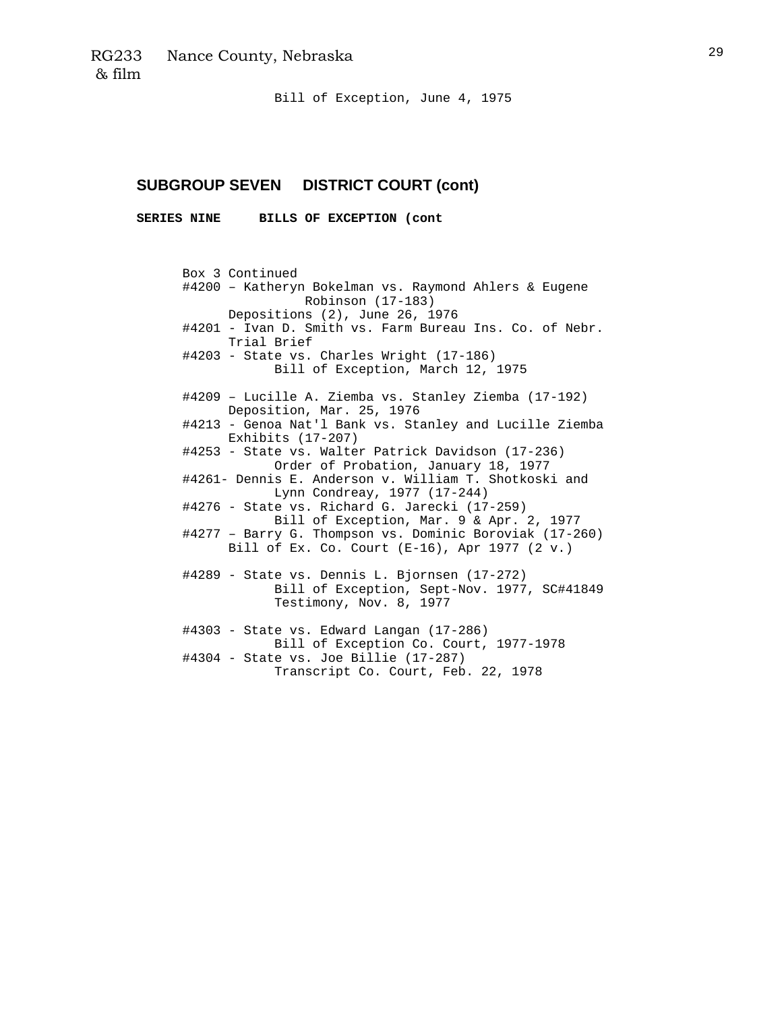Bill of Exception, June 4, 1975

#### **SUBGROUP SEVEN DISTRICT COURT (cont)**

**SERIES NINE BILLS OF EXCEPTION (cont**

Box 3 Continued #4200 – Katheryn Bokelman vs. Raymond Ahlers & Eugene Robinson (17-183) Depositions (2), June 26, 1976 #4201 - Ivan D. Smith vs. Farm Bureau Ins. Co. of Nebr. Trial Brief #4203 - State vs. Charles Wright (17-186) Bill of Exception, March 12, 1975 #4209 – Lucille A. Ziemba vs. Stanley Ziemba (17-192) Deposition, Mar. 25, 1976 #4213 - Genoa Nat'l Bank vs. Stanley and Lucille Ziemba Exhibits (17-207) #4253 - State vs. Walter Patrick Davidson (17-236) Order of Probation, January 18, 1977 #4261- Dennis E. Anderson v. William T. Shotkoski and Lynn Condreay, 1977 (17-244) #4276 - State vs. Richard G. Jarecki (17-259) Bill of Exception, Mar. 9 & Apr. 2, 1977 #4277 – Barry G. Thompson vs. Dominic Boroviak (17-260) Bill of Ex. Co. Court (E-16), Apr 1977 (2 v.) #4289 - State vs. Dennis L. Bjornsen (17-272) Bill of Exception, Sept-Nov. 1977, SC#41849 Testimony, Nov. 8, 1977 #4303 - State vs. Edward Langan (17-286) Bill of Exception Co. Court, 1977-1978 #4304 - State vs. Joe Billie (17-287) Transcript Co. Court, Feb. 22, 1978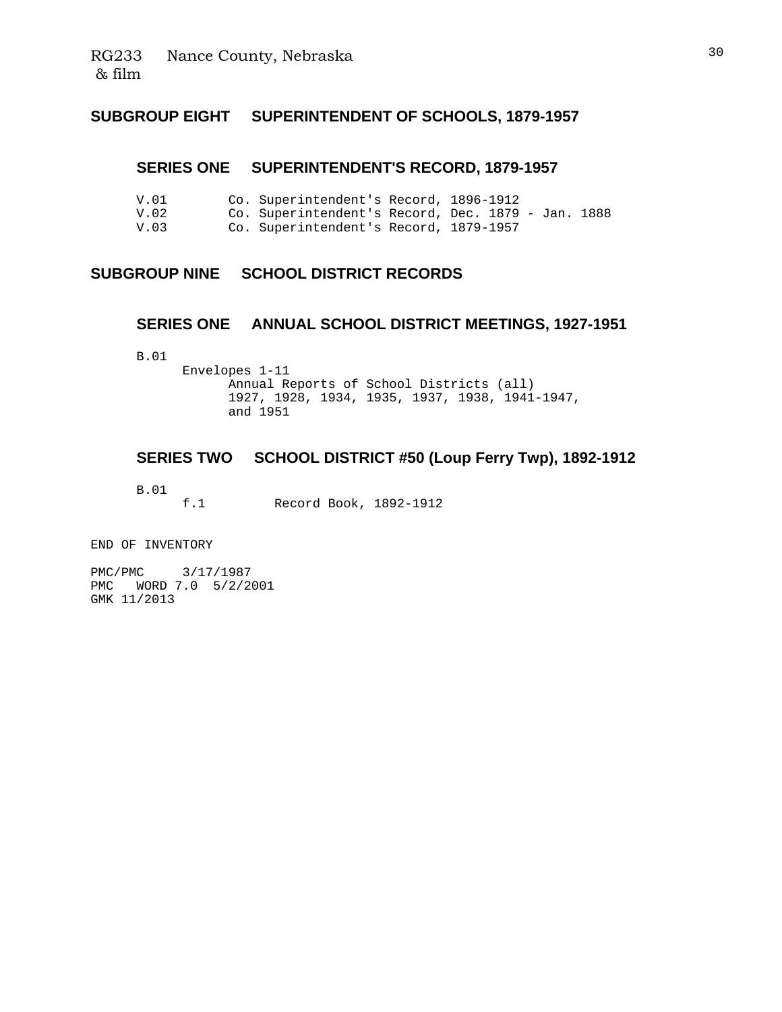#### **SUBGROUP EIGHT SUPERINTENDENT OF SCHOOLS, 1879-1957**

## **SERIES ONE SUPERINTENDENT'S RECORD, 1879-1957**

| V.O1 | Co. Superintendent's Record, 1896-1912                                                                          |  |
|------|-----------------------------------------------------------------------------------------------------------------|--|
| V.02 | Co. Superintendent's Record, Dec. 1879 - Jan. 1888                                                              |  |
|      | the contract of the contract of the contract of the contract of the contract of the contract of the contract of |  |

V.03 Co. Superintendent's Record, 1879-1957

#### **SUBGROUP NINE SCHOOL DISTRICT RECORDS**

#### **SERIES ONE ANNUAL SCHOOL DISTRICT MEETINGS, 1927-1951**

B.01

 Envelopes 1-11 Annual Reports of School Districts (all) 1927, 1928, 1934, 1935, 1937, 1938, 1941-1947, and 1951

#### **SERIES TWO SCHOOL DISTRICT #50 (Loup Ferry Twp), 1892-1912**

B.01

f.1 Record Book, 1892-1912

END OF INVENTORY

PMC/PMC 3/17/1987 PMC WORD 7.0 5/2/2001 GMK 11/2013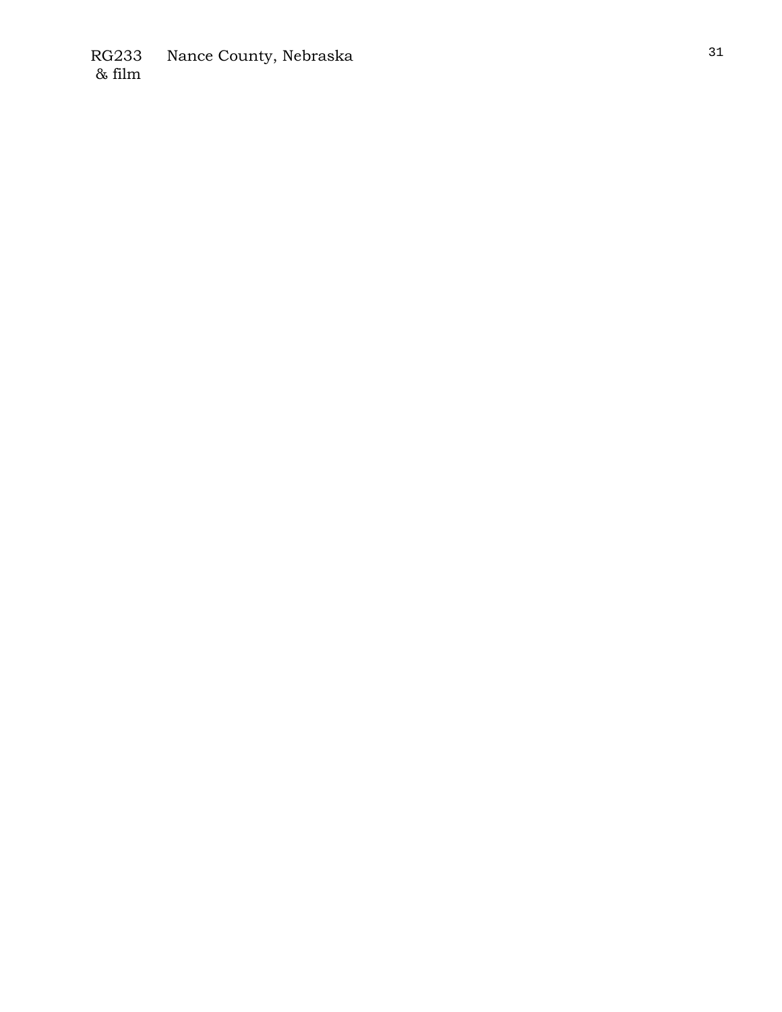|        | RG233 – Nance County, Nebraska |
|--------|--------------------------------|
| & film |                                |